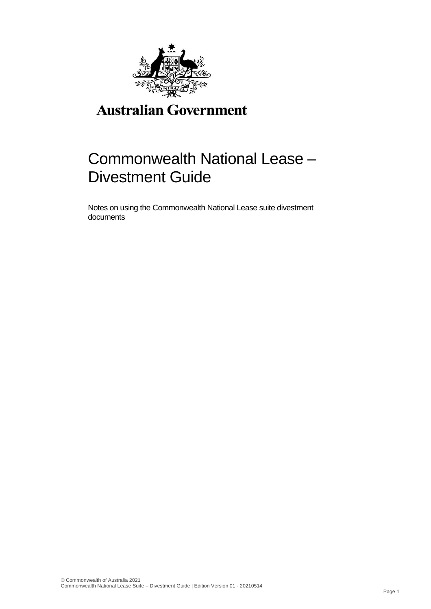

# **Australian Government**

# Commonwealth National Lease – Divestment Guide

Notes on using the Commonwealth National Lease suite divestment documents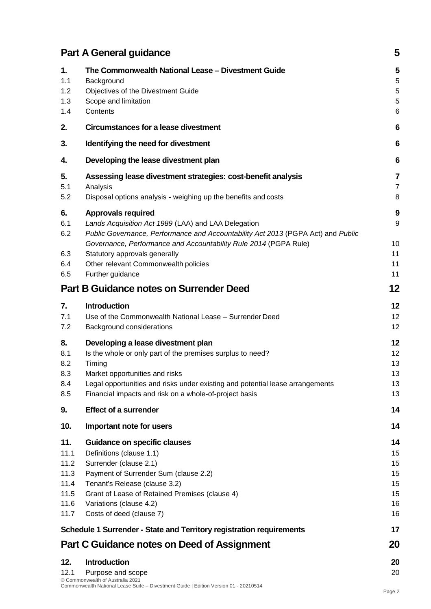|                                                             | <b>Part A General guidance</b>                                                                                                                                                                                                                                                                                                                       | 5                                                  |
|-------------------------------------------------------------|------------------------------------------------------------------------------------------------------------------------------------------------------------------------------------------------------------------------------------------------------------------------------------------------------------------------------------------------------|----------------------------------------------------|
| 1.<br>1.1<br>1.2<br>1.3<br>1.4                              | The Commonwealth National Lease - Divestment Guide<br>Background<br>Objectives of the Divestment Guide<br>Scope and limitation<br>Contents                                                                                                                                                                                                           | 5<br>5<br>5<br>5<br>6                              |
| 2.                                                          | <b>Circumstances for a lease divestment</b>                                                                                                                                                                                                                                                                                                          | 6                                                  |
| 3.                                                          | Identifying the need for divestment                                                                                                                                                                                                                                                                                                                  | 6                                                  |
| 4.                                                          | Developing the lease divestment plan                                                                                                                                                                                                                                                                                                                 | 6                                                  |
| 5.<br>5.1<br>5.2                                            | Assessing lease divestment strategies: cost-benefit analysis<br>Analysis<br>Disposal options analysis - weighing up the benefits and costs                                                                                                                                                                                                           | 7<br>$\overline{7}$<br>8                           |
| 6.<br>6.1<br>6.2<br>6.3<br>6.4<br>6.5                       | <b>Approvals required</b><br>Lands Acquisition Act 1989 (LAA) and LAA Delegation<br>Public Governance, Performance and Accountability Act 2013 (PGPA Act) and Public<br>Governance, Performance and Accountability Rule 2014 (PGPA Rule)<br>Statutory approvals generally<br>Other relevant Commonwealth policies<br>Further guidance                | 9<br>9<br>10<br>11<br>11<br>11                     |
|                                                             | <b>Part B Guidance notes on Surrender Deed</b>                                                                                                                                                                                                                                                                                                       | 12                                                 |
| 7.<br>7.1<br>7.2                                            | <b>Introduction</b><br>Use of the Commonwealth National Lease - Surrender Deed<br>Background considerations                                                                                                                                                                                                                                          | 12<br>12<br>12                                     |
| 8.<br>8.1<br>8.2<br>8.3<br>8.4<br>8.5                       | Developing a lease divestment plan<br>Is the whole or only part of the premises surplus to need?<br>Timing<br>Market opportunities and risks<br>Legal opportunities and risks under existing and potential lease arrangements<br>Financial impacts and risk on a whole-of-project basis                                                              | 12<br>12<br>13<br>13<br>13<br>13                   |
| 9.                                                          | <b>Effect of a surrender</b>                                                                                                                                                                                                                                                                                                                         | 14                                                 |
| 10.                                                         | Important note for users                                                                                                                                                                                                                                                                                                                             | 14                                                 |
| 11.<br>11.1<br>11.2<br>11.3<br>11.4<br>11.5<br>11.6<br>11.7 | <b>Guidance on specific clauses</b><br>Definitions (clause 1.1)<br>Surrender (clause 2.1)<br>Payment of Surrender Sum (clause 2.2)<br>Tenant's Release (clause 3.2)<br>Grant of Lease of Retained Premises (clause 4)<br>Variations (clause 4.2)<br>Costs of deed (clause 7)<br>Schedule 1 Surrender - State and Territory registration requirements | 14<br>15<br>15<br>15<br>15<br>15<br>16<br>16<br>17 |
|                                                             | Part C Guidance notes on Deed of Assignment                                                                                                                                                                                                                                                                                                          | 20                                                 |
| 12.<br>12.1                                                 | <b>Introduction</b><br>Purpose and scope<br>© Commonwealth of Australia 2021<br>Commonwealth National Lease Suite - Divestment Guide   Edition Version 01 - 20210514                                                                                                                                                                                 | 20<br>20                                           |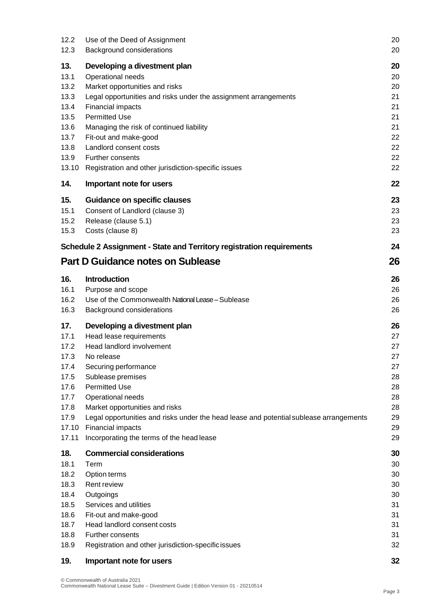| 12.2<br>12.3   | Use of the Deed of Assignment<br>Background considerations                             | 20<br>20 |
|----------------|----------------------------------------------------------------------------------------|----------|
| 13.            | Developing a divestment plan                                                           | 20       |
| 13.1           | Operational needs                                                                      | 20       |
| 13.2           | Market opportunities and risks                                                         | 20       |
| 13.3           | Legal opportunities and risks under the assignment arrangements                        | 21       |
| 13.4           | Financial impacts                                                                      | 21       |
| 13.5           | <b>Permitted Use</b>                                                                   | 21       |
| 13.6           | Managing the risk of continued liability                                               | 21       |
| 13.7           | Fit-out and make-good                                                                  | 22       |
| 13.8           | Landlord consent costs                                                                 | 22       |
| 13.9           | Further consents                                                                       | 22       |
| 13.10          | Registration and other jurisdiction-specific issues                                    | 22       |
| 14.            | Important note for users                                                               | 22       |
| 15.            | <b>Guidance on specific clauses</b>                                                    | 23       |
| 15.1           | Consent of Landlord (clause 3)                                                         | 23       |
| 15.2           | Release (clause 5.1)                                                                   | 23       |
| 15.3           | Costs (clause 8)                                                                       | 23       |
|                | Schedule 2 Assignment - State and Territory registration requirements                  | 24       |
|                | <b>Part D Guidance notes on Sublease</b>                                               | 26       |
| 16.            | <b>Introduction</b>                                                                    | 26       |
| 16.1           | Purpose and scope                                                                      | 26       |
| 16.2           | Use of the Commonwealth National Lease - Sublease                                      | 26       |
| 16.3           | Background considerations                                                              | 26       |
| 17.            | Developing a divestment plan                                                           | 26       |
| 17.1           | Head lease requirements                                                                | 27       |
| 17.2           | Head landlord involvement                                                              | 27       |
| 17.3           | No release                                                                             | 27       |
| 17.4           | Securing performance                                                                   | 27       |
| 17.5           | Sublease premises                                                                      | 28       |
| 17.6           | <b>Permitted Use</b>                                                                   | 28       |
| 17.7           | Operational needs                                                                      | 28       |
| 17.8           | Market opportunities and risks                                                         | 28       |
| 17.9           | Legal opportunities and risks under the head lease and potential sublease arrangements | 29       |
| 17.10<br>17.11 | Financial impacts<br>Incorporating the terms of the head lease                         | 29<br>29 |
| 18.            | <b>Commercial considerations</b>                                                       | 30       |
| 18.1           | Term                                                                                   | 30       |
| 18.2           | Option terms                                                                           | 30       |
| 18.3           | Rent review                                                                            | 30       |
| 18.4           | Outgoings                                                                              | 30       |
| 18.5           | Services and utilities                                                                 | 31       |
| 18.6           | Fit-out and make-good                                                                  | 31       |
| 18.7           | Head landlord consent costs                                                            | 31       |
| 18.8           | <b>Further consents</b>                                                                | 31       |
| 18.9           | Registration and other jurisdiction-specific issues                                    | 32       |
| 19.            | Important note for users                                                               | 32       |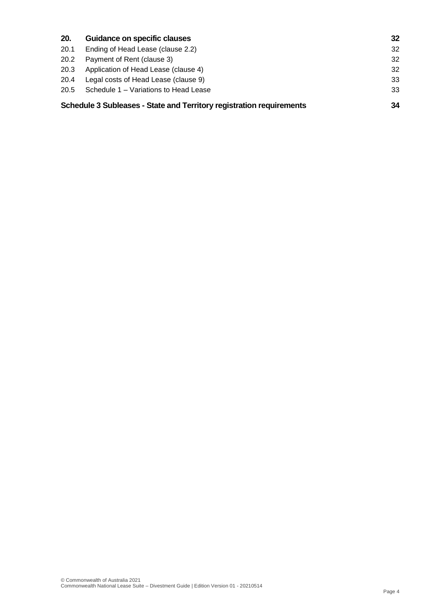| 20.  | Guidance on specific clauses                                         | 32 |  |
|------|----------------------------------------------------------------------|----|--|
| 20.1 | Ending of Head Lease (clause 2.2)                                    | 32 |  |
| 20.2 | Payment of Rent (clause 3)                                           | 32 |  |
| 20.3 | Application of Head Lease (clause 4)                                 | 32 |  |
| 20.4 | Legal costs of Head Lease (clause 9)                                 | 33 |  |
| 20.5 | Schedule 1 - Variations to Head Lease                                | 33 |  |
|      | Schedule 3 Subleases - State and Territory registration requirements |    |  |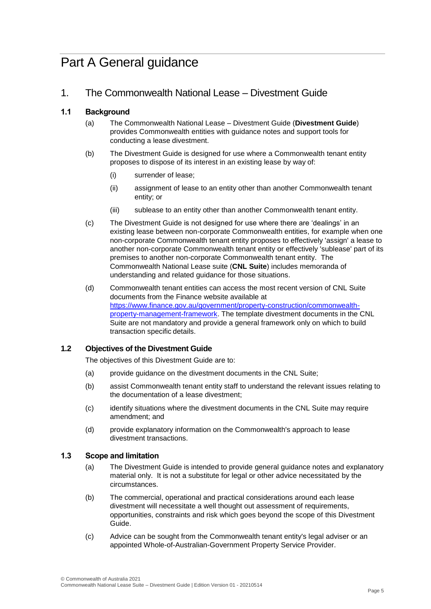# Part A General guidance

# 1. The Commonwealth National Lease – Divestment Guide

#### **1.1 Background**

- (a) The Commonwealth National Lease Divestment Guide (**Divestment Guide**) provides Commonwealth entities with guidance notes and support tools for conducting a lease divestment.
- (b) The Divestment Guide is designed for use where a Commonwealth tenant entity proposes to dispose of its interest in an existing lease by way of:
	- (i) surrender of lease;
	- (ii) assignment of lease to an entity other than another Commonwealth tenant entity; or
	- (iii) sublease to an entity other than another Commonwealth tenant entity.
- (c) The Divestment Guide is not designed for use where there are 'dealings' in an existing lease between non-corporate Commonwealth entities, for example when one non-corporate Commonwealth tenant entity proposes to effectively 'assign' a lease to another non-corporate Commonwealth tenant entity or effectively 'sublease' part of its premises to another non-corporate Commonwealth tenant entity. The Commonwealth National Lease suite (**CNL Suite**) includes memoranda of understanding and related guidance for those situations.
- (d) Commonwealth tenant entities can access the most recent version of CNL Suite documents from the Finance website available at [https://www.finance.gov.au/government/property-construction/commonwealth](https://www.finance.gov.au/government/property-construction/commonwealth-property-management-framework)[property-management-framework.](https://www.finance.gov.au/government/property-construction/commonwealth-property-management-framework) The template divestment documents in the CNL Suite are not mandatory and provide a general framework only on which to build transaction specific details.

#### **1.2 Objectives of the Divestment Guide**

The objectives of this Divestment Guide are to:

- (a) provide guidance on the divestment documents in the CNL Suite;
- (b) assist Commonwealth tenant entity staff to understand the relevant issues relating to the documentation of a lease divestment;
- (c) identify situations where the divestment documents in the CNL Suite may require amendment; and
- (d) provide explanatory information on the Commonwealth's approach to lease divestment transactions.

#### **1.3 Scope and limitation**

- (a) The Divestment Guide is intended to provide general guidance notes and explanatory material only. It is not a substitute for legal or other advice necessitated by the circumstances.
- (b) The commercial, operational and practical considerations around each lease divestment will necessitate a well thought out assessment of requirements, opportunities, constraints and risk which goes beyond the scope of this Divestment Guide.
- (c) Advice can be sought from the Commonwealth tenant entity's legal adviser or an appointed Whole-of-Australian-Government Property Service Provider.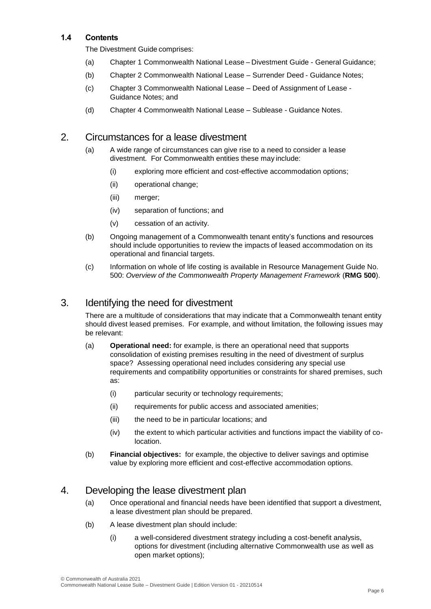#### **1.4 Contents**

The Divestment Guide comprises:

- (a) Chapter 1 Commonwealth National Lease Divestment Guide General Guidance;
- (b) Chapter 2 Commonwealth National Lease Surrender Deed Guidance Notes;
- (c) Chapter 3 Commonwealth National Lease Deed of Assignment of Lease Guidance Notes; and
- (d) Chapter 4 Commonwealth National Lease Sublease Guidance Notes.

# 2. Circumstances for a lease divestment

- (a) A wide range of circumstances can give rise to a need to consider a lease divestment. For Commonwealth entities these may include:
	- (i) exploring more efficient and cost-effective accommodation options;
	- (ii) operational change;
	- (iii) merger;
	- (iv) separation of functions; and
	- (v) cessation of an activity.
- (b) Ongoing management of a Commonwealth tenant entity's functions and resources should include opportunities to review the impacts of leased accommodation on its operational and financial targets.
- (c) Information on whole of life costing is available in Resource Management Guide No. 500: *Overview of the Commonwealth Property Management Framework* (**RMG 500**).

# 3. Identifying the need for divestment

There are a multitude of considerations that may indicate that a Commonwealth tenant entity should divest leased premises. For example, and without limitation, the following issues may be relevant:

- (a) **Operational need:** for example, is there an operational need that supports consolidation of existing premises resulting in the need of divestment of surplus space? Assessing operational need includes considering any special use requirements and compatibility opportunities or constraints for shared premises, such as:
	- (i) particular security or technology requirements;
	- (ii) requirements for public access and associated amenities;
	- (iii) the need to be in particular locations; and
	- (iv) the extent to which particular activities and functions impact the viability of colocation.
- (b) **Financial objectives:** for example, the objective to deliver savings and optimise value by exploring more efficient and cost-effective accommodation options.

# 4. Developing the lease divestment plan

- (a) Once operational and financial needs have been identified that support a divestment, a lease divestment plan should be prepared.
- (b) A lease divestment plan should include:
	- (i) a well-considered divestment strategy including a cost-benefit analysis, options for divestment (including alternative Commonwealth use as well as open market options);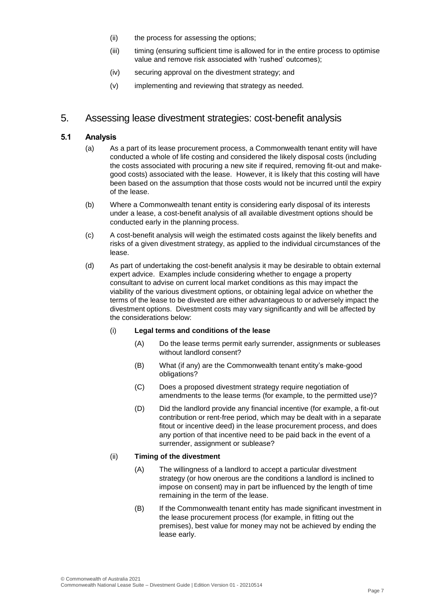- (ii) the process for assessing the options;
- (iii) timing (ensuring sufficient time is allowed for in the entire process to optimise value and remove risk associated with 'rushed' outcomes);
- (iv) securing approval on the divestment strategy; and
- (v) implementing and reviewing that strategy as needed.

## 5. Assessing lease divestment strategies: cost-benefit analysis

#### **5.1 Analysis**

- (a) As a part of its lease procurement process, a Commonwealth tenant entity will have conducted a whole of life costing and considered the likely disposal costs (including the costs associated with procuring a new site if required, removing fit-out and makegood costs) associated with the lease. However, it is likely that this costing will have been based on the assumption that those costs would not be incurred until the expiry of the lease.
- (b) Where a Commonwealth tenant entity is considering early disposal of its interests under a lease, a cost-benefit analysis of all available divestment options should be conducted early in the planning process.
- (c) A cost-benefit analysis will weigh the estimated costs against the likely benefits and risks of a given divestment strategy, as applied to the individual circumstances of the lease.
- (d) As part of undertaking the cost-benefit analysis it may be desirable to obtain external expert advice. Examples include considering whether to engage a property consultant to advise on current local market conditions as this may impact the viability of the various divestment options, or obtaining legal advice on whether the terms of the lease to be divested are either advantageous to or adversely impact the divestment options. Divestment costs may vary significantly and will be affected by the considerations below:

#### (i) **Legal terms and conditions of the lease**

- (A) Do the lease terms permit early surrender, assignments or subleases without landlord consent?
- (B) What (if any) are the Commonwealth tenant entity's make-good obligations?
- (C) Does a proposed divestment strategy require negotiation of amendments to the lease terms (for example, to the permitted use)?
- (D) Did the landlord provide any financial incentive (for example, a fit-out contribution or rent-free period, which may be dealt with in a separate fitout or incentive deed) in the lease procurement process, and does any portion of that incentive need to be paid back in the event of a surrender, assignment or sublease?

#### (ii) **Timing of the divestment**

- (A) The willingness of a landlord to accept a particular divestment strategy (or how onerous are the conditions a landlord is inclined to impose on consent) may in part be influenced by the length of time remaining in the term of the lease.
- (B) If the Commonwealth tenant entity has made significant investment in the lease procurement process (for example, in fitting out the premises), best value for money may not be achieved by ending the lease early.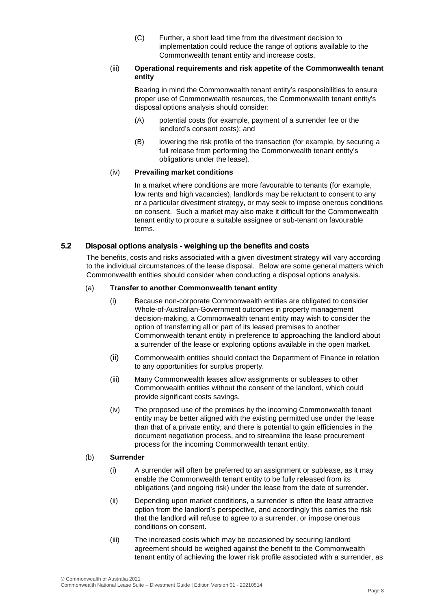(C) Further, a short lead time from the divestment decision to implementation could reduce the range of options available to the Commonwealth tenant entity and increase costs.

#### (iii) **Operational requirements and risk appetite of the Commonwealth tenant entity**

Bearing in mind the Commonwealth tenant entity's responsibilities to ensure proper use of Commonwealth resources, the Commonwealth tenant entity's disposal options analysis should consider:

- (A) potential costs (for example, payment of a surrender fee or the landlord's consent costs); and
- (B) lowering the risk profile of the transaction (for example, by securing a full release from performing the Commonwealth tenant entity's obligations under the lease).

#### (iv) **Prevailing market conditions**

In a market where conditions are more favourable to tenants (for example, low rents and high vacancies), landlords may be reluctant to consent to any or a particular divestment strategy, or may seek to impose onerous conditions on consent. Such a market may also make it difficult for the Commonwealth tenant entity to procure a suitable assignee or sub-tenant on favourable terms.

#### **5.2 Disposal options analysis - weighing up the benefits and costs**

The benefits, costs and risks associated with a given divestment strategy will vary according to the individual circumstances of the lease disposal. Below are some general matters which Commonwealth entities should consider when conducting a disposal options analysis.

#### (a) **Transfer to another Commonwealth tenant entity**

- (i) Because non-corporate Commonwealth entities are obligated to consider Whole-of-Australian-Government outcomes in property management decision-making, a Commonwealth tenant entity may wish to consider the option of transferring all or part of its leased premises to another Commonwealth tenant entity in preference to approaching the landlord about a surrender of the lease or exploring options available in the open market.
- (ii) Commonwealth entities should contact the Department of Finance in relation to any opportunities for surplus property.
- (iii) Many Commonwealth leases allow assignments or subleases to other Commonwealth entities without the consent of the landlord, which could provide significant costs savings.
- (iv) The proposed use of the premises by the incoming Commonwealth tenant entity may be better aligned with the existing permitted use under the lease than that of a private entity, and there is potential to gain efficiencies in the document negotiation process, and to streamline the lease procurement process for the incoming Commonwealth tenant entity.

#### (b) **Surrender**

- (i) A surrender will often be preferred to an assignment or sublease, as it may enable the Commonwealth tenant entity to be fully released from its obligations (and ongoing risk) under the lease from the date of surrender.
- (ii) Depending upon market conditions, a surrender is often the least attractive option from the landlord's perspective, and accordingly this carries the risk that the landlord will refuse to agree to a surrender, or impose onerous conditions on consent.
- (iii) The increased costs which may be occasioned by securing landlord agreement should be weighed against the benefit to the Commonwealth tenant entity of achieving the lower risk profile associated with a surrender, as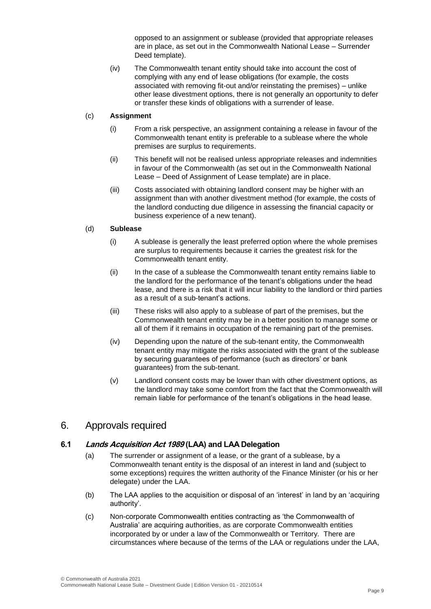opposed to an assignment or sublease (provided that appropriate releases are in place, as set out in the Commonwealth National Lease – Surrender Deed template).

(iv) The Commonwealth tenant entity should take into account the cost of complying with any end of lease obligations (for example, the costs associated with removing fit-out and/or reinstating the premises) – unlike other lease divestment options, there is not generally an opportunity to defer or transfer these kinds of obligations with a surrender of lease.

#### (c) **Assignment**

- (i) From a risk perspective, an assignment containing a release in favour of the Commonwealth tenant entity is preferable to a sublease where the whole premises are surplus to requirements.
- (ii) This benefit will not be realised unless appropriate releases and indemnities in favour of the Commonwealth (as set out in the Commonwealth National Lease – Deed of Assignment of Lease template) are in place.
- (iii) Costs associated with obtaining landlord consent may be higher with an assignment than with another divestment method (for example, the costs of the landlord conducting due diligence in assessing the financial capacity or business experience of a new tenant).

#### (d) **Sublease**

- (i) A sublease is generally the least preferred option where the whole premises are surplus to requirements because it carries the greatest risk for the Commonwealth tenant entity.
- (ii) In the case of a sublease the Commonwealth tenant entity remains liable to the landlord for the performance of the tenant's obligations under the head lease, and there is a risk that it will incur liability to the landlord or third parties as a result of a sub-tenant's actions.
- (iii) These risks will also apply to a sublease of part of the premises, but the Commonwealth tenant entity may be in a better position to manage some or all of them if it remains in occupation of the remaining part of the premises.
- (iv) Depending upon the nature of the sub-tenant entity, the Commonwealth tenant entity may mitigate the risks associated with the grant of the sublease by securing guarantees of performance (such as directors' or bank guarantees) from the sub-tenant.
- (v) Landlord consent costs may be lower than with other divestment options, as the landlord may take some comfort from the fact that the Commonwealth will remain liable for performance of the tenant's obligations in the head lease.

### 6. Approvals required

#### **6.1 Lands Acquisition Act 1989 (LAA) and LAA Delegation**

- (a) The surrender or assignment of a lease, or the grant of a sublease, by a Commonwealth tenant entity is the disposal of an interest in land and (subject to some exceptions) requires the written authority of the Finance Minister (or his or her delegate) under the LAA.
- (b) The LAA applies to the acquisition or disposal of an 'interest' in land by an 'acquiring authority'.
- (c) Non-corporate Commonwealth entities contracting as 'the Commonwealth of Australia' are acquiring authorities, as are corporate Commonwealth entities incorporated by or under a law of the Commonwealth or Territory. There are circumstances where because of the terms of the LAA or regulations under the LAA,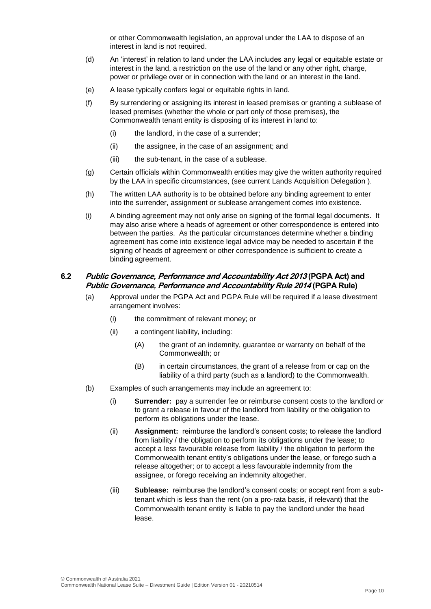or other Commonwealth legislation, an approval under the LAA to dispose of an interest in land is not required.

- (d) An 'interest' in relation to land under the LAA includes any legal or equitable estate or interest in the land, a restriction on the use of the land or any other right, charge, power or privilege over or in connection with the land or an interest in the land.
- (e) A lease typically confers legal or equitable rights in land.
- (f) By surrendering or assigning its interest in leased premises or granting a sublease of leased premises (whether the whole or part only of those premises), the Commonwealth tenant entity is disposing of its interest in land to:
	- (i) the landlord, in the case of a surrender;
	- (ii) the assignee, in the case of an assignment; and
	- (iii) the sub-tenant, in the case of a sublease.
- (g) Certain officials within Commonwealth entities may give the written authority required by the LAA in specific circumstances, (see current Lands Acquisition Delegation ).
- (h) The written LAA authority is to be obtained before any binding agreement to enter into the surrender, assignment or sublease arrangement comes into existence.
- (i) A binding agreement may not only arise on signing of the formal legal documents. It may also arise where a heads of agreement or other correspondence is entered into between the parties. As the particular circumstances determine whether a binding agreement has come into existence legal advice may be needed to ascertain if the signing of heads of agreement or other correspondence is sufficient to create a binding agreement.

#### **6.2 Public Governance, Performance and Accountability Act 2013 (PGPA Act) and Public Governance, Performance and Accountability Rule 2014 (PGPA Rule)**

- (a) Approval under the PGPA Act and PGPA Rule will be required if a lease divestment arrangement involves:
	- (i) the commitment of relevant money; or
	- (ii) a contingent liability, including:
		- (A) the grant of an indemnity, guarantee or warranty on behalf of the Commonwealth; or
		- (B) in certain circumstances, the grant of a release from or cap on the liability of a third party (such as a landlord) to the Commonwealth.
- (b) Examples of such arrangements may include an agreement to:
	- (i) **Surrender:** pay a surrender fee or reimburse consent costs to the landlord or to grant a release in favour of the landlord from liability or the obligation to perform its obligations under the lease.
	- (ii) **Assignment:** reimburse the landlord's consent costs; to release the landlord from liability / the obligation to perform its obligations under the lease; to accept a less favourable release from liability / the obligation to perform the Commonwealth tenant entity's obligations under the lease, or forego such a release altogether; or to accept a less favourable indemnity from the assignee, or forego receiving an indemnity altogether.
	- (iii) **Sublease:** reimburse the landlord's consent costs; or accept rent from a subtenant which is less than the rent (on a pro-rata basis, if relevant) that the Commonwealth tenant entity is liable to pay the landlord under the head lease.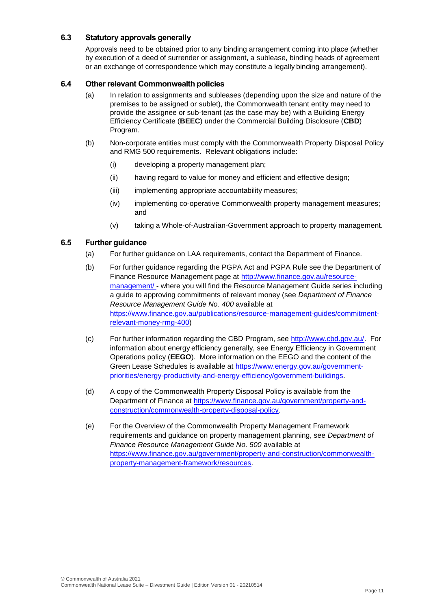#### **6.3 Statutory approvals generally**

Approvals need to be obtained prior to any binding arrangement coming into place (whether by execution of a deed of surrender or assignment, a sublease, binding heads of agreement or an exchange of correspondence which may constitute a legally binding arrangement).

#### **6.4 Other relevant Commonwealth policies**

- (a) In relation to assignments and subleases (depending upon the size and nature of the premises to be assigned or sublet), the Commonwealth tenant entity may need to provide the assignee or sub-tenant (as the case may be) with a Building Energy Efficiency Certificate (**BEEC**) under the Commercial Building Disclosure (**CBD**) Program.
- (b) Non-corporate entities must comply with the Commonwealth Property Disposal Policy and RMG 500 requirements. Relevant obligations include:
	- (i) developing a property management plan;
	- (ii) having regard to value for money and efficient and effective design;
	- (iii) implementing appropriate accountability measures;
	- (iv) implementing co-operative Commonwealth property management measures; and
	- (v) taking a Whole-of-Australian-Government approach to property management.

#### **6.5 Further guidance**

- (a) For further guidance on LAA requirements, contact the Department of Finance.
- (b) For further guidance regarding the PGPA Act and PGPA Rule see the Department of Finance Resource Management page at [http://www.finance.gov.au/resource](http://www.finance.gov.au/resource-management/)[management/ -](http://www.finance.gov.au/resource-management/) where you will find the Resource Management Guide series including a guide to approving commitments of relevant money (see *Department of Finance Resource Management Guide No. 400* available at [https://www.finance.gov.au/publications/resource-management-guides/commitment](https://www.finance.gov.au/publications/resource-management-guides/commitment-relevant-money-rmg-400)[relevant-money-rmg-400\)](https://www.finance.gov.au/publications/resource-management-guides/commitment-relevant-money-rmg-400)
- (c) For further information regarding the CBD Program, see [http://www.cbd.gov.au/.](http://www.cbd.gov.au/) For information about energy efficiency generally, see Energy Efficiency in Government Operations policy (**EEGO**). More information on the EEGO and the content of the Green Lease Schedules is available at [https://www.energy.gov.au/government](https://www.energy.gov.au/government-priorities/energy-productivity-and-energy-efficiency/government-buildings)[priorities/energy-productivity-and-energy-efficiency/government-buildings.](https://www.energy.gov.au/government-priorities/energy-productivity-and-energy-efficiency/government-buildings)
- (d) A copy of the Commonwealth Property Disposal Policy is available from the Department of Finance at [https://www.finance.gov.au/government/property-and](https://www.finance.gov.au/government/property-and-construction/commonwealth-property-disposal-policy)[construction/commonwealth-property-disposal-policy.](https://www.finance.gov.au/government/property-and-construction/commonwealth-property-disposal-policy)
- (e) For the Overview of the Commonwealth Property Management Framework requirements and guidance on property management planning, see *Department of Finance Resource Management Guide No. 500* available at [https://www.finance.gov.au/government/property-and-construction/commonwealth](https://www.finance.gov.au/government/property-and-construction/commonwealth-property-management-framework/resources)[property-management-framework/resources.](https://www.finance.gov.au/government/property-and-construction/commonwealth-property-management-framework/resources)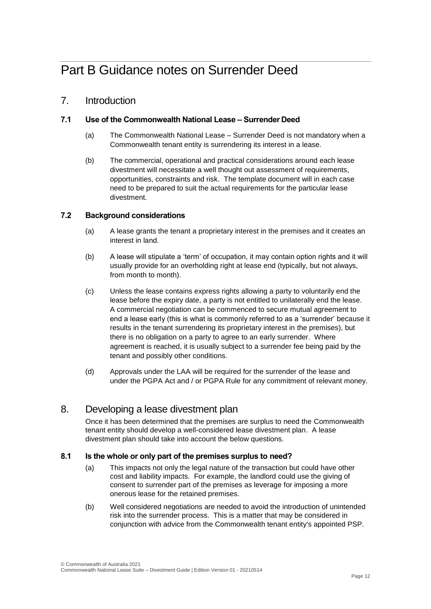# Part B Guidance notes on Surrender Deed

## 7. Introduction

#### **7.1 Use of the Commonwealth National Lease – Surrender Deed**

- (a) The Commonwealth National Lease Surrender Deed is not mandatory when a Commonwealth tenant entity is surrendering its interest in a lease.
- (b) The commercial, operational and practical considerations around each lease divestment will necessitate a well thought out assessment of requirements, opportunities, constraints and risk. The template document will in each case need to be prepared to suit the actual requirements for the particular lease divestment.

#### **7.2 Background considerations**

- (a) A lease grants the tenant a proprietary interest in the premises and it creates an interest in land.
- (b) A lease will stipulate a 'term' of occupation, it may contain option rights and it will usually provide for an overholding right at lease end (typically, but not always, from month to month).
- (c) Unless the lease contains express rights allowing a party to voluntarily end the lease before the expiry date, a party is not entitled to unilaterally end the lease. A commercial negotiation can be commenced to secure mutual agreement to end a lease early (this is what is commonly referred to as a 'surrender' because it results in the tenant surrendering its proprietary interest in the premises), but there is no obligation on a party to agree to an early surrender. Where agreement is reached, it is usually subject to a surrender fee being paid by the tenant and possibly other conditions.
- (d) Approvals under the LAA will be required for the surrender of the lease and under the PGPA Act and / or PGPA Rule for any commitment of relevant money.

# 8. Developing a lease divestment plan

Once it has been determined that the premises are surplus to need the Commonwealth tenant entity should develop a well-considered lease divestment plan. A lease divestment plan should take into account the below questions.

#### **8.1 Is the whole or only part of the premises surplus to need?**

- (a) This impacts not only the legal nature of the transaction but could have other cost and liability impacts. For example, the landlord could use the giving of consent to surrender part of the premises as leverage for imposing a more onerous lease for the retained premises.
- (b) Well considered negotiations are needed to avoid the introduction of unintended risk into the surrender process. This is a matter that may be considered in conjunction with advice from the Commonwealth tenant entity's appointed PSP.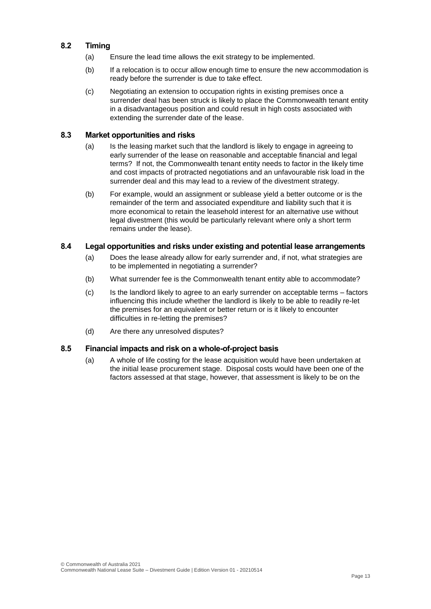#### **8.2 Timing**

- (a) Ensure the lead time allows the exit strategy to be implemented.
- (b) If a relocation is to occur allow enough time to ensure the new accommodation is ready before the surrender is due to take effect.
- (c) Negotiating an extension to occupation rights in existing premises once a surrender deal has been struck is likely to place the Commonwealth tenant entity in a disadvantageous position and could result in high costs associated with extending the surrender date of the lease.

#### **8.3 Market opportunities and risks**

- (a) Is the leasing market such that the landlord is likely to engage in agreeing to early surrender of the lease on reasonable and acceptable financial and legal terms? If not, the Commonwealth tenant entity needs to factor in the likely time and cost impacts of protracted negotiations and an unfavourable risk load in the surrender deal and this may lead to a review of the divestment strategy.
- (b) For example, would an assignment or sublease yield a better outcome or is the remainder of the term and associated expenditure and liability such that it is more economical to retain the leasehold interest for an alternative use without legal divestment (this would be particularly relevant where only a short term remains under the lease).

#### **8.4 Legal opportunities and risks under existing and potential lease arrangements**

- (a) Does the lease already allow for early surrender and, if not, what strategies are to be implemented in negotiating a surrender?
- (b) What surrender fee is the Commonwealth tenant entity able to accommodate?
- (c) Is the landlord likely to agree to an early surrender on acceptable terms factors influencing this include whether the landlord is likely to be able to readily re-let the premises for an equivalent or better return or is it likely to encounter difficulties in re-letting the premises?
- (d) Are there any unresolved disputes?

#### **8.5 Financial impacts and risk on a whole-of-project basis**

(a) A whole of life costing for the lease acquisition would have been undertaken at the initial lease procurement stage. Disposal costs would have been one of the factors assessed at that stage, however, that assessment is likely to be on the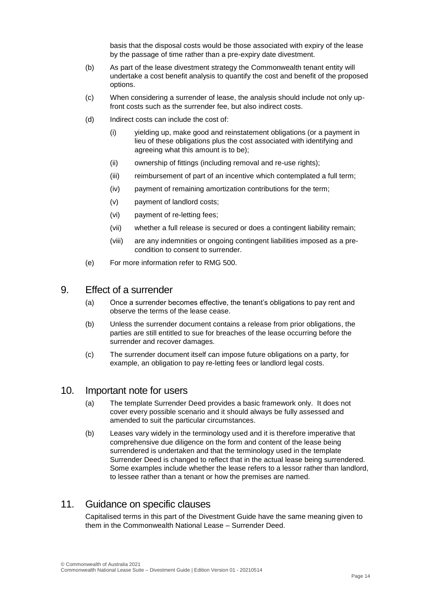basis that the disposal costs would be those associated with expiry of the lease by the passage of time rather than a pre-expiry date divestment.

- (b) As part of the lease divestment strategy the Commonwealth tenant entity will undertake a cost benefit analysis to quantify the cost and benefit of the proposed options.
- (c) When considering a surrender of lease, the analysis should include not only upfront costs such as the surrender fee, but also indirect costs.
- (d) Indirect costs can include the cost of:
	- (i) yielding up, make good and reinstatement obligations (or a payment in lieu of these obligations plus the cost associated with identifying and agreeing what this amount is to be);
	- (ii) ownership of fittings (including removal and re-use rights);
	- (iii) reimbursement of part of an incentive which contemplated a full term;
	- (iv) payment of remaining amortization contributions for the term;
	- (v) payment of landlord costs;
	- (vi) payment of re-letting fees;
	- (vii) whether a full release is secured or does a contingent liability remain;
	- (viii) are any indemnities or ongoing contingent liabilities imposed as a precondition to consent to surrender.
- (e) For more information refer to RMG 500.

### 9. Effect of a surrender

- (a) Once a surrender becomes effective, the tenant's obligations to pay rent and observe the terms of the lease cease.
- (b) Unless the surrender document contains a release from prior obligations, the parties are still entitled to sue for breaches of the lease occurring before the surrender and recover damages.
- (c) The surrender document itself can impose future obligations on a party, for example, an obligation to pay re-letting fees or landlord legal costs.

### 10. Important note for users

- (a) The template Surrender Deed provides a basic framework only. It does not cover every possible scenario and it should always be fully assessed and amended to suit the particular circumstances.
- (b) Leases vary widely in the terminology used and it is therefore imperative that comprehensive due diligence on the form and content of the lease being surrendered is undertaken and that the terminology used in the template Surrender Deed is changed to reflect that in the actual lease being surrendered. Some examples include whether the lease refers to a lessor rather than landlord, to lessee rather than a tenant or how the premises are named.

# 11. Guidance on specific clauses

Capitalised terms in this part of the Divestment Guide have the same meaning given to them in the Commonwealth National Lease – Surrender Deed.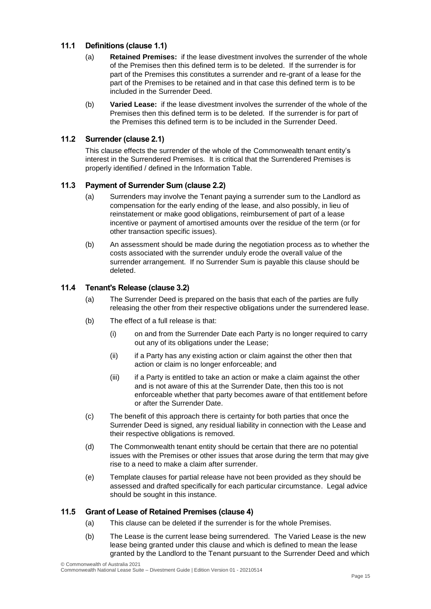#### **11.1 Definitions (clause 1.1)**

- (a) **Retained Premises:** if the lease divestment involves the surrender of the whole of the Premises then this defined term is to be deleted. If the surrender is for part of the Premises this constitutes a surrender and re-grant of a lease for the part of the Premises to be retained and in that case this defined term is to be included in the Surrender Deed.
- (b) **Varied Lease:** if the lease divestment involves the surrender of the whole of the Premises then this defined term is to be deleted. If the surrender is for part of the Premises this defined term is to be included in the Surrender Deed.

#### **11.2 Surrender (clause 2.1)**

This clause effects the surrender of the whole of the Commonwealth tenant entity's interest in the Surrendered Premises. It is critical that the Surrendered Premises is properly identified / defined in the Information Table.

#### **11.3 Payment of Surrender Sum (clause 2.2)**

- (a) Surrenders may involve the Tenant paying a surrender sum to the Landlord as compensation for the early ending of the lease, and also possibly, in lieu of reinstatement or make good obligations, reimbursement of part of a lease incentive or payment of amortised amounts over the residue of the term (or for other transaction specific issues).
- (b) An assessment should be made during the negotiation process as to whether the costs associated with the surrender unduly erode the overall value of the surrender arrangement. If no Surrender Sum is payable this clause should be deleted.

#### **11.4 Tenant's Release (clause 3.2)**

- (a) The Surrender Deed is prepared on the basis that each of the parties are fully releasing the other from their respective obligations under the surrendered lease.
- (b) The effect of a full release is that:
	- (i) on and from the Surrender Date each Party is no longer required to carry out any of its obligations under the Lease;
	- (ii) if a Party has any existing action or claim against the other then that action or claim is no longer enforceable; and
	- (iii) if a Party is entitled to take an action or make a claim against the other and is not aware of this at the Surrender Date, then this too is not enforceable whether that party becomes aware of that entitlement before or after the Surrender Date.
- (c) The benefit of this approach there is certainty for both parties that once the Surrender Deed is signed, any residual liability in connection with the Lease and their respective obligations is removed.
- (d) The Commonwealth tenant entity should be certain that there are no potential issues with the Premises or other issues that arose during the term that may give rise to a need to make a claim after surrender.
- (e) Template clauses for partial release have not been provided as they should be assessed and drafted specifically for each particular circumstance. Legal advice should be sought in this instance.

#### **11.5 Grant of Lease of Retained Premises (clause 4)**

- (a) This clause can be deleted if the surrender is for the whole Premises.
- (b) The Lease is the current lease being surrendered. The Varied Lease is the new lease being granted under this clause and which is defined to mean the lease granted by the Landlord to the Tenant pursuant to the Surrender Deed and which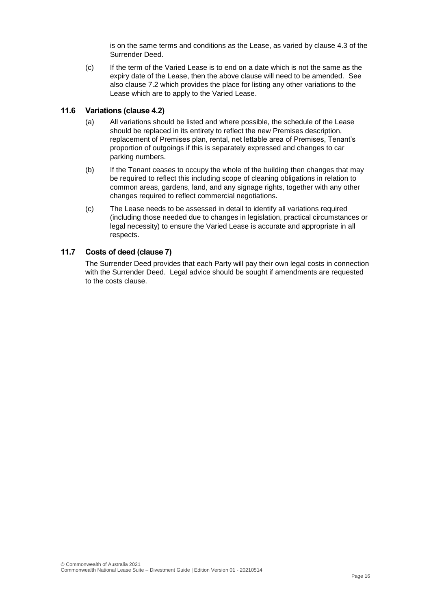is on the same terms and conditions as the Lease, as varied by clause 4.3 of the Surrender Deed.

(c) If the term of the Varied Lease is to end on a date which is not the same as the expiry date of the Lease, then the above clause will need to be amended. See also clause 7.2 which provides the place for listing any other variations to the Lease which are to apply to the Varied Lease.

#### **11.6 Variations (clause 4.2)**

- (a) All variations should be listed and where possible, the schedule of the Lease should be replaced in its entirety to reflect the new Premises description, replacement of Premises plan, rental, net lettable area of Premises, Tenant's proportion of outgoings if this is separately expressed and changes to car parking numbers.
- (b) If the Tenant ceases to occupy the whole of the building then changes that may be required to reflect this including scope of cleaning obligations in relation to common areas, gardens, land, and any signage rights, together with any other changes required to reflect commercial negotiations.
- (c) The Lease needs to be assessed in detail to identify all variations required (including those needed due to changes in legislation, practical circumstances or legal necessity) to ensure the Varied Lease is accurate and appropriate in all respects.

#### **11.7 Costs of deed (clause 7)**

The Surrender Deed provides that each Party will pay their own legal costs in connection with the Surrender Deed. Legal advice should be sought if amendments are requested to the costs clause.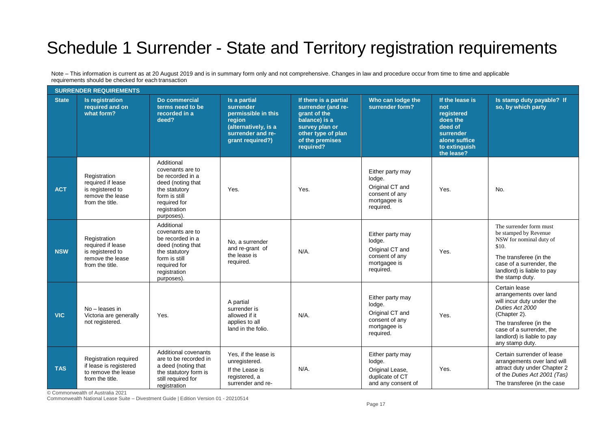# Schedule 1 Surrender - State and Territory registration requirements

Note – This information is current as at 20 August 2019 and is in summary form only and not comprehensive. Changes in law and procedure occur from time to time and applicable requirements should be checked for each transaction

| <b>SURRENDER REQUIREMENTS</b> |                                                                                              |                                                                                                                                                         |                                                                                                                             |                                                                                                                                                      |                                                                                              |                                                                                                                          |                                                                                                                                                                                                                |
|-------------------------------|----------------------------------------------------------------------------------------------|---------------------------------------------------------------------------------------------------------------------------------------------------------|-----------------------------------------------------------------------------------------------------------------------------|------------------------------------------------------------------------------------------------------------------------------------------------------|----------------------------------------------------------------------------------------------|--------------------------------------------------------------------------------------------------------------------------|----------------------------------------------------------------------------------------------------------------------------------------------------------------------------------------------------------------|
| <b>State</b>                  | <b>Is registration</b><br>required and on<br>what form?                                      | Do commercial<br>terms need to be<br>recorded in a<br>deed?                                                                                             | Is a partial<br>surrender<br>permissible in this<br>region<br>(alternatively, is a<br>surrender and re-<br>qrant required?) | If there is a partial<br>surrender (and re-<br>grant of the<br>balance) is a<br>survey plan or<br>other type of plan<br>of the premises<br>required? | Who can lodge the<br>surrender form?                                                         | If the lease is<br>not<br>registered<br>does the<br>deed of<br>surrender<br>alone suffice<br>to extinguish<br>the lease? | Is stamp duty payable? If<br>so, by which party                                                                                                                                                                |
| <b>ACT</b>                    | Registration<br>required if lease<br>is registered to<br>remove the lease<br>from the title. | Additional<br>covenants are to<br>be recorded in a<br>deed (noting that<br>the statutory<br>form is still<br>required for<br>registration<br>purposes). | Yes.                                                                                                                        | Yes.                                                                                                                                                 | Either party may<br>lodge.<br>Original CT and<br>consent of any<br>mortgagee is<br>required. | Yes.                                                                                                                     | No.                                                                                                                                                                                                            |
| <b>NSW</b>                    | Registration<br>required if lease<br>is registered to<br>remove the lease<br>from the title. | Additional<br>covenants are to<br>be recorded in a<br>deed (noting that<br>the statutory<br>form is still<br>required for<br>registration<br>purposes). | No, a surrender<br>and re-grant of<br>the lease is<br>required.                                                             | $N/A$ .                                                                                                                                              | Either party may<br>lodge.<br>Original CT and<br>consent of any<br>mortgagee is<br>required. | Yes.                                                                                                                     | The surrender form must<br>be stamped by Revenue<br>NSW for nominal duty of<br>\$10.<br>The transferee (in the<br>case of a surrender, the<br>landlord) is liable to pay<br>the stamp duty.                    |
| <b>VIC</b>                    | $No - leaves in$<br>Victoria are generally<br>not registered.                                | Yes.                                                                                                                                                    | A partial<br>surrender is<br>allowed if it<br>applies to all<br>land in the folio.                                          | $N/A$ .                                                                                                                                              | Either party may<br>lodge.<br>Original CT and<br>consent of any<br>mortgagee is<br>required. | Yes.                                                                                                                     | Certain lease<br>arrangements over land<br>will incur duty under the<br>Duties Act 2000<br>(Chapter 2).<br>The transferee (in the<br>case of a surrender, the<br>landlord) is liable to pay<br>any stamp duty. |
| <b>TAS</b>                    | Registration required<br>if lease is registered<br>to remove the lease<br>from the title.    | Additional covenants<br>are to be recorded in<br>a deed (noting that<br>the statutory form is<br>still required for<br>registration                     | Yes, if the lease is<br>unregistered.<br>If the Lease is<br>registered, a<br>surrender and re-                              | $N/A$ .                                                                                                                                              | Either party may<br>lodge.<br>Original Lease,<br>duplicate of CT<br>and any consent of       | Yes.                                                                                                                     | Certain surrender of lease<br>arrangements over land will<br>attract duty under Chapter 2<br>of the Duties Act 2001 (Tas)<br>The transferee (in the case                                                       |

© Commonwealth of Australia 2021

Commonwealth National Lease Suite – Divestment Guide | Edition Version 01 - 20210514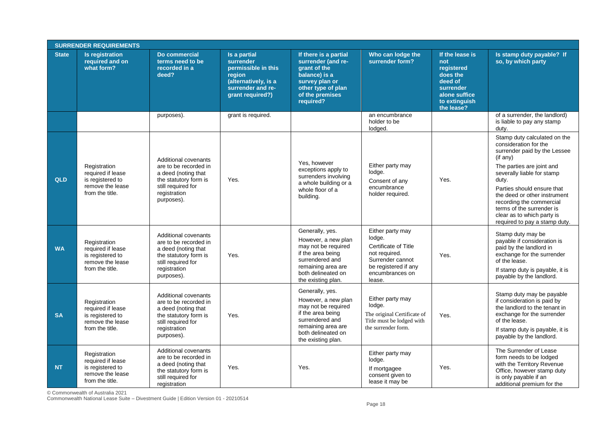|              | <b>SURRENDER REQUIREMENTS</b>                                                                |                                                                                                                                                   |                                                                                                                             |                                                                                                                                                                         |                                                                                                                                              |                                                                                                                          |                                                                                                                                                                                                                                                                                                                                                                   |
|--------------|----------------------------------------------------------------------------------------------|---------------------------------------------------------------------------------------------------------------------------------------------------|-----------------------------------------------------------------------------------------------------------------------------|-------------------------------------------------------------------------------------------------------------------------------------------------------------------------|----------------------------------------------------------------------------------------------------------------------------------------------|--------------------------------------------------------------------------------------------------------------------------|-------------------------------------------------------------------------------------------------------------------------------------------------------------------------------------------------------------------------------------------------------------------------------------------------------------------------------------------------------------------|
| <b>State</b> | <b>Is registration</b><br>required and on<br>what form?                                      | Do commercial<br>terms need to be<br>recorded in a<br>deed?                                                                                       | Is a partial<br>surrender<br>permissible in this<br>region<br>(alternatively, is a<br>surrender and re-<br>grant required?) | If there is a partial<br>surrender (and re-<br>grant of the<br>balance) is a<br>survey plan or<br>other type of plan<br>of the premises<br>required?                    | Who can lodge the<br>surrender form?                                                                                                         | If the lease is<br>not<br>registered<br>does the<br>deed of<br>surrender<br>alone suffice<br>to extinguish<br>the lease? | Is stamp duty payable? If<br>so, by which party                                                                                                                                                                                                                                                                                                                   |
|              |                                                                                              | purposes).                                                                                                                                        | grant is required.                                                                                                          |                                                                                                                                                                         | an encumbrance<br>holder to be<br>lodged.                                                                                                    |                                                                                                                          | of a surrender, the landlord)<br>is liable to pay any stamp<br>duty.                                                                                                                                                                                                                                                                                              |
| <b>QLD</b>   | Registration<br>required if lease<br>is registered to<br>remove the lease<br>from the title. | Additional covenants<br>are to be recorded in<br>a deed (noting that<br>the statutory form is<br>still required for<br>registration<br>purposes). | Yes.                                                                                                                        | Yes, however<br>exceptions apply to<br>surrenders involving<br>a whole building or a<br>whole floor of a<br>building.                                                   | Either party may<br>lodge.<br>Consent of any<br>encumbrance<br>holder required.                                                              | Yes.                                                                                                                     | Stamp duty calculated on the<br>consideration for the<br>surrender paid by the Lessee<br>$($ if any $)$<br>The parties are joint and<br>severally liable for stamp<br>duty.<br>Parties should ensure that<br>the deed or other instrument<br>recording the commercial<br>terms of the surrender is<br>clear as to which party is<br>required to pay a stamp duty. |
| <b>WA</b>    | Registration<br>required if lease<br>is registered to<br>remove the lease<br>from the title. | Additional covenants<br>are to be recorded in<br>a deed (noting that<br>the statutory form is<br>still required for<br>registration<br>purposes). | Yes.                                                                                                                        | Generally, yes.<br>However, a new plan<br>may not be required<br>if the area being<br>surrendered and<br>remaining area are<br>both delineated on<br>the existing plan. | Either party may<br>lodge.<br>Certificate of Title<br>not required.<br>Surrender cannot<br>be registered if any<br>encumbrances on<br>lease. | Yes.                                                                                                                     | Stamp duty may be<br>payable if consideration is<br>paid by the landlord in<br>exchange for the surrender<br>of the lease.<br>If stamp duty is payable, it is<br>payable by the landlord.                                                                                                                                                                         |
| <b>SA</b>    | Registration<br>required if lease<br>is registered to<br>remove the lease<br>from the title. | Additional covenants<br>are to be recorded in<br>a deed (noting that<br>the statutory form is<br>still required for<br>registration<br>purposes). | Yes.                                                                                                                        | Generally, yes.<br>However, a new plan<br>may not be required<br>if the area being<br>surrendered and<br>remaining area are<br>both delineated on<br>the existing plan. | Either party may<br>lodge.<br>The original Certificate of<br>Title must be lodged with<br>the surrender form.                                | Yes.                                                                                                                     | Stamp duty may be payable<br>if consideration is paid by<br>the landlord to the tenant in<br>exchange for the surrender<br>of the lease.<br>If stamp duty is payable, it is<br>payable by the landlord.                                                                                                                                                           |
| NT.          | Registration<br>required if lease<br>is registered to<br>remove the lease<br>from the title. | Additional covenants<br>are to be recorded in<br>a deed (noting that<br>the statutory form is<br>still required for<br>registration               | Yes.                                                                                                                        | Yes.                                                                                                                                                                    | Either party may<br>lodge.<br>If mortgagee<br>consent given to<br>lease it may be                                                            | Yes.                                                                                                                     | The Surrender of Lease<br>form needs to be lodged<br>with the Territory Revenue<br>Office, however stamp duty<br>is only payable if an<br>additional premium for the                                                                                                                                                                                              |

© Commonwealth of Australia 2021

Commonwealth National Lease Suite – Divestment Guide | Edition Version 01 - 20210514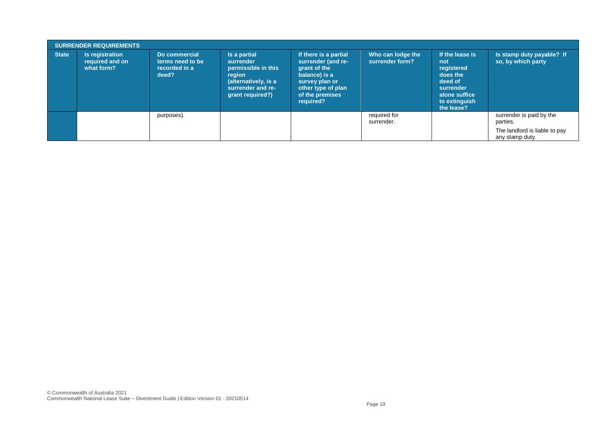|              | <b>SURRENDER REQUIREMENTS</b>                    |                                                             |                                                                                                                             |                                                                                                                                                      |                                      |                                                                                                                          |                                                                                          |
|--------------|--------------------------------------------------|-------------------------------------------------------------|-----------------------------------------------------------------------------------------------------------------------------|------------------------------------------------------------------------------------------------------------------------------------------------------|--------------------------------------|--------------------------------------------------------------------------------------------------------------------------|------------------------------------------------------------------------------------------|
| <b>State</b> | Is registration<br>required and on<br>what form? | Do commercial<br>terms need to be<br>recorded in a<br>deed? | Is a partial<br>surrender<br>permissible in this<br>region<br>(alternatively, is a<br>surrender and re-<br>grant required?) | If there is a partial<br>surrender (and re-<br>grant of the<br>balance) is a<br>survey plan or<br>other type of plan<br>of the premises<br>required? | Who can lodge the<br>surrender form? | If the lease is<br>not<br>registered<br>does the<br>deed of<br>surrender<br>alone suffice<br>to extinguish<br>the lease? | Is stamp duty payable? If<br>so, by which party                                          |
|              |                                                  | purposes).                                                  |                                                                                                                             |                                                                                                                                                      | required for<br>surrender.           |                                                                                                                          | surrender is paid by the<br>parties.<br>The landlord is liable to pay<br>any stamp duty. |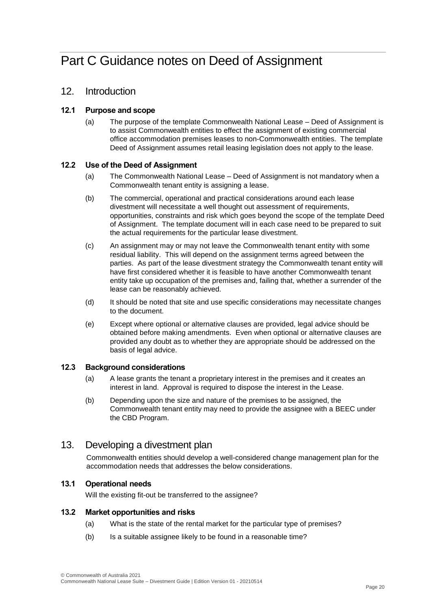# Part C Guidance notes on Deed of Assignment

## 12. Introduction

#### **12.1 Purpose and scope**

(a) The purpose of the template Commonwealth National Lease – Deed of Assignment is to assist Commonwealth entities to effect the assignment of existing commercial office accommodation premises leases to non-Commonwealth entities. The template Deed of Assignment assumes retail leasing legislation does not apply to the lease.

#### **12.2 Use of the Deed of Assignment**

- (a) The Commonwealth National Lease Deed of Assignment is not mandatory when a Commonwealth tenant entity is assigning a lease.
- (b) The commercial, operational and practical considerations around each lease divestment will necessitate a well thought out assessment of requirements, opportunities, constraints and risk which goes beyond the scope of the template Deed of Assignment. The template document will in each case need to be prepared to suit the actual requirements for the particular lease divestment.
- (c) An assignment may or may not leave the Commonwealth tenant entity with some residual liability. This will depend on the assignment terms agreed between the parties. As part of the lease divestment strategy the Commonwealth tenant entity will have first considered whether it is feasible to have another Commonwealth tenant entity take up occupation of the premises and, failing that, whether a surrender of the lease can be reasonably achieved.
- (d) It should be noted that site and use specific considerations may necessitate changes to the document.
- (e) Except where optional or alternative clauses are provided, legal advice should be obtained before making amendments. Even when optional or alternative clauses are provided any doubt as to whether they are appropriate should be addressed on the basis of legal advice.

#### **12.3 Background considerations**

- (a) A lease grants the tenant a proprietary interest in the premises and it creates an interest in land. Approval is required to dispose the interest in the Lease.
- (b) Depending upon the size and nature of the premises to be assigned, the Commonwealth tenant entity may need to provide the assignee with a BEEC under the CBD Program.

# 13. Developing a divestment plan

Commonwealth entities should develop a well-considered change management plan for the accommodation needs that addresses the below considerations.

#### **13.1 Operational needs**

Will the existing fit-out be transferred to the assignee?

#### **13.2 Market opportunities and risks**

- (a) What is the state of the rental market for the particular type of premises?
- (b) Is a suitable assignee likely to be found in a reasonable time?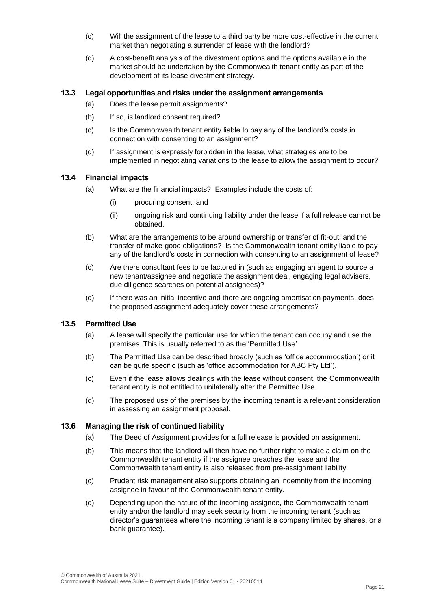- (c) Will the assignment of the lease to a third party be more cost-effective in the current market than negotiating a surrender of lease with the landlord?
- (d) A cost-benefit analysis of the divestment options and the options available in the market should be undertaken by the Commonwealth tenant entity as part of the development of its lease divestment strategy.

#### **13.3 Legal opportunities and risks under the assignment arrangements**

- (a) Does the lease permit assignments?
- (b) If so, is landlord consent required?
- (c) Is the Commonwealth tenant entity liable to pay any of the landlord's costs in connection with consenting to an assignment?
- (d) If assignment is expressly forbidden in the lease, what strategies are to be implemented in negotiating variations to the lease to allow the assignment to occur?

#### **13.4 Financial impacts**

- (a) What are the financial impacts? Examples include the costs of:
	- (i) procuring consent; and
	- (ii) ongoing risk and continuing liability under the lease if a full release cannot be obtained.
- (b) What are the arrangements to be around ownership or transfer of fit-out, and the transfer of make-good obligations? Is the Commonwealth tenant entity liable to pay any of the landlord's costs in connection with consenting to an assignment of lease?
- (c) Are there consultant fees to be factored in (such as engaging an agent to source a new tenant/assignee and negotiate the assignment deal, engaging legal advisers, due diligence searches on potential assignees)?
- (d) If there was an initial incentive and there are ongoing amortisation payments, does the proposed assignment adequately cover these arrangements?

#### **13.5 Permitted Use**

- (a) A lease will specify the particular use for which the tenant can occupy and use the premises. This is usually referred to as the 'Permitted Use'.
- (b) The Permitted Use can be described broadly (such as 'office accommodation') or it can be quite specific (such as 'office accommodation for ABC Pty Ltd').
- (c) Even if the lease allows dealings with the lease without consent, the Commonwealth tenant entity is not entitled to unilaterally alter the Permitted Use.
- (d) The proposed use of the premises by the incoming tenant is a relevant consideration in assessing an assignment proposal.

#### **13.6 Managing the risk of continued liability**

- (a) The Deed of Assignment provides for a full release is provided on assignment.
- (b) This means that the landlord will then have no further right to make a claim on the Commonwealth tenant entity if the assignee breaches the lease and the Commonwealth tenant entity is also released from pre-assignment liability.
- (c) Prudent risk management also supports obtaining an indemnity from the incoming assignee in favour of the Commonwealth tenant entity.
- (d) Depending upon the nature of the incoming assignee, the Commonwealth tenant entity and/or the landlord may seek security from the incoming tenant (such as director's guarantees where the incoming tenant is a company limited by shares, or a bank guarantee).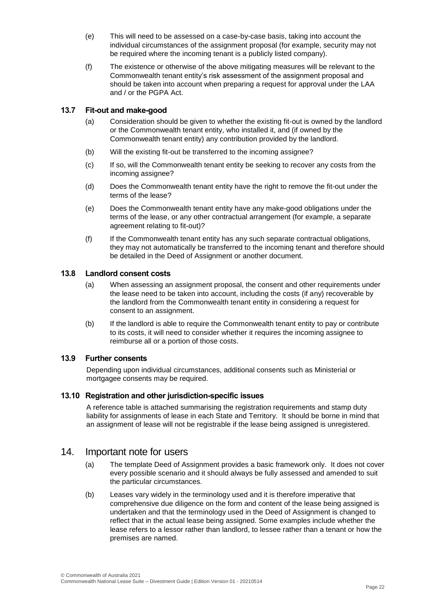- (e) This will need to be assessed on a case-by-case basis, taking into account the individual circumstances of the assignment proposal (for example, security may not be required where the incoming tenant is a publicly listed company).
- (f) The existence or otherwise of the above mitigating measures will be relevant to the Commonwealth tenant entity's risk assessment of the assignment proposal and should be taken into account when preparing a request for approval under the LAA and / or the PGPA Act.

#### **13.7 Fit-out and make-good**

- (a) Consideration should be given to whether the existing fit-out is owned by the landlord or the Commonwealth tenant entity, who installed it, and (if owned by the Commonwealth tenant entity) any contribution provided by the landlord.
- (b) Will the existing fit-out be transferred to the incoming assignee?
- (c) If so, will the Commonwealth tenant entity be seeking to recover any costs from the incoming assignee?
- (d) Does the Commonwealth tenant entity have the right to remove the fit-out under the terms of the lease?
- (e) Does the Commonwealth tenant entity have any make-good obligations under the terms of the lease, or any other contractual arrangement (for example, a separate agreement relating to fit-out)?
- (f) If the Commonwealth tenant entity has any such separate contractual obligations, they may not automatically be transferred to the incoming tenant and therefore should be detailed in the Deed of Assignment or another document.

#### **13.8 Landlord consent costs**

- (a) When assessing an assignment proposal, the consent and other requirements under the lease need to be taken into account, including the costs (if any) recoverable by the landlord from the Commonwealth tenant entity in considering a request for consent to an assignment.
- (b) If the landlord is able to require the Commonwealth tenant entity to pay or contribute to its costs, it will need to consider whether it requires the incoming assignee to reimburse all or a portion of those costs.

#### **13.9 Further consents**

Depending upon individual circumstances, additional consents such as Ministerial or mortgagee consents may be required.

#### **13.10 Registration and other jurisdiction-specific issues**

A reference table is attached summarising the registration requirements and stamp duty liability for assignments of lease in each State and Territory. It should be borne in mind that an assignment of lease will not be registrable if the lease being assigned is unregistered.

### 14. Important note for users

- (a) The template Deed of Assignment provides a basic framework only. It does not cover every possible scenario and it should always be fully assessed and amended to suit the particular circumstances.
- (b) Leases vary widely in the terminology used and it is therefore imperative that comprehensive due diligence on the form and content of the lease being assigned is undertaken and that the terminology used in the Deed of Assignment is changed to reflect that in the actual lease being assigned. Some examples include whether the lease refers to a lessor rather than landlord, to lessee rather than a tenant or how the premises are named.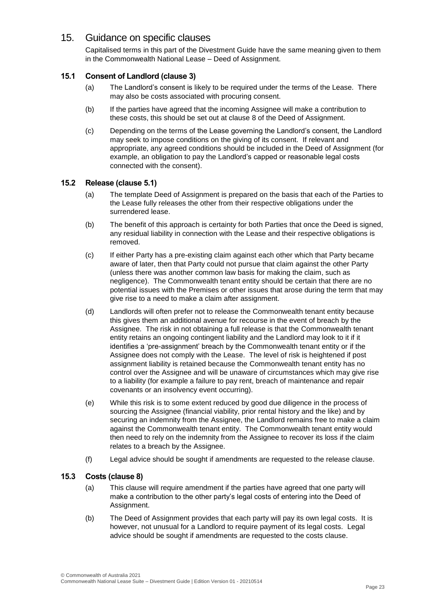# 15. Guidance on specific clauses

Capitalised terms in this part of the Divestment Guide have the same meaning given to them in the Commonwealth National Lease – Deed of Assignment.

#### **15.1 Consent of Landlord (clause 3)**

- (a) The Landlord's consent is likely to be required under the terms of the Lease. There may also be costs associated with procuring consent.
- (b) If the parties have agreed that the incoming Assignee will make a contribution to these costs, this should be set out at clause 8 of the Deed of Assignment.
- (c) Depending on the terms of the Lease governing the Landlord's consent, the Landlord may seek to impose conditions on the giving of its consent. If relevant and appropriate, any agreed conditions should be included in the Deed of Assignment (for example, an obligation to pay the Landlord's capped or reasonable legal costs connected with the consent).

#### **15.2 Release (clause 5.1)**

- (a) The template Deed of Assignment is prepared on the basis that each of the Parties to the Lease fully releases the other from their respective obligations under the surrendered lease.
- (b) The benefit of this approach is certainty for both Parties that once the Deed is signed, any residual liability in connection with the Lease and their respective obligations is removed.
- (c) If either Party has a pre-existing claim against each other which that Party became aware of later, then that Party could not pursue that claim against the other Party (unless there was another common law basis for making the claim, such as negligence). The Commonwealth tenant entity should be certain that there are no potential issues with the Premises or other issues that arose during the term that may give rise to a need to make a claim after assignment.
- (d) Landlords will often prefer not to release the Commonwealth tenant entity because this gives them an additional avenue for recourse in the event of breach by the Assignee. The risk in not obtaining a full release is that the Commonwealth tenant entity retains an ongoing contingent liability and the Landlord may look to it if it identifies a 'pre-assignment' breach by the Commonwealth tenant entity or if the Assignee does not comply with the Lease. The level of risk is heightened if post assignment liability is retained because the Commonwealth tenant entity has no control over the Assignee and will be unaware of circumstances which may give rise to a liability (for example a failure to pay rent, breach of maintenance and repair covenants or an insolvency event occurring).
- (e) While this risk is to some extent reduced by good due diligence in the process of sourcing the Assignee (financial viability, prior rental history and the like) and by securing an indemnity from the Assignee, the Landlord remains free to make a claim against the Commonwealth tenant entity. The Commonwealth tenant entity would then need to rely on the indemnity from the Assignee to recover its loss if the claim relates to a breach by the Assignee.
- (f) Legal advice should be sought if amendments are requested to the release clause.

#### **15.3 Costs (clause 8)**

- (a) This clause will require amendment if the parties have agreed that one party will make a contribution to the other party's legal costs of entering into the Deed of Assignment.
- (b) The Deed of Assignment provides that each party will pay its own legal costs. It is however, not unusual for a Landlord to require payment of its legal costs. Legal advice should be sought if amendments are requested to the costs clause.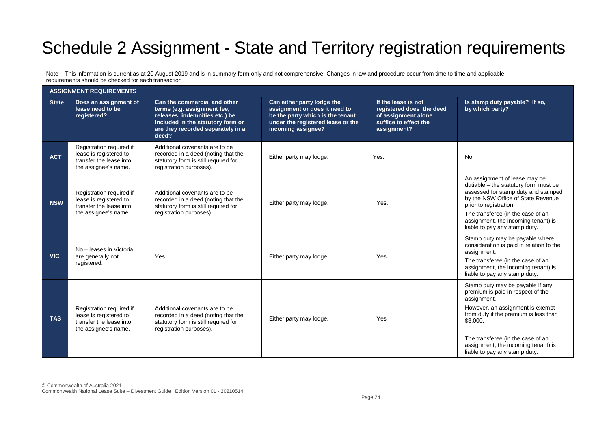# Schedule 2 Assignment - State and Territory registration requirements

Note – This information is current as at 20 August 2019 and is in summary form only and not comprehensive. Changes in law and procedure occur from time to time and applicable requirements should be checked for each transaction

|              | <b>ASSIGNMENT REQUIREMENTS</b>                                                                        |                                                                                                                                                                                  |                                                                                                                                                            |                                                                                                                |                                                                                                                                                                                                                                                                                            |  |
|--------------|-------------------------------------------------------------------------------------------------------|----------------------------------------------------------------------------------------------------------------------------------------------------------------------------------|------------------------------------------------------------------------------------------------------------------------------------------------------------|----------------------------------------------------------------------------------------------------------------|--------------------------------------------------------------------------------------------------------------------------------------------------------------------------------------------------------------------------------------------------------------------------------------------|--|
| <b>State</b> | Does an assignment of<br>lease need to be<br>registered?                                              | Can the commercial and other<br>terms (e.g. assignment fee,<br>releases, indemnities etc.) be<br>included in the statutory form or<br>are they recorded separately in a<br>deed? | Can either party lodge the<br>assignment or does it need to<br>be the party which is the tenant<br>under the registered lease or the<br>incoming assignee? | If the lease is not<br>registered does the deed<br>of assignment alone<br>suffice to effect the<br>assignment? | Is stamp duty payable? If so,<br>by which party?                                                                                                                                                                                                                                           |  |
| <b>ACT</b>   | Registration required if<br>lease is registered to<br>transfer the lease into<br>the assignee's name. | Additional covenants are to be<br>recorded in a deed (noting that the<br>statutory form is still required for<br>registration purposes).                                         | Either party may lodge.                                                                                                                                    | Yes.                                                                                                           | No.                                                                                                                                                                                                                                                                                        |  |
| <b>NSW</b>   | Registration required if<br>lease is registered to<br>transfer the lease into<br>the assignee's name. | Additional covenants are to be<br>recorded in a deed (noting that the<br>statutory form is still required for<br>registration purposes).                                         | Either party may lodge.                                                                                                                                    | Yes.                                                                                                           | An assignment of lease may be<br>dutiable - the statutory form must be<br>assessed for stamp duty and stamped<br>by the NSW Office of State Revenue<br>prior to registration.<br>The transferee (in the case of an<br>assignment, the incoming tenant) is<br>liable to pay any stamp duty. |  |
| <b>VIC</b>   | No - leases in Victoria<br>are generally not<br>registered.                                           | Yes.                                                                                                                                                                             | Either party may lodge.                                                                                                                                    | Yes                                                                                                            | Stamp duty may be payable where<br>consideration is paid in relation to the<br>assignment.<br>The transferee (in the case of an<br>assignment, the incoming tenant) is<br>liable to pay any stamp duty.                                                                                    |  |
| <b>TAS</b>   | Registration required if<br>lease is registered to<br>transfer the lease into<br>the assignee's name. | Additional covenants are to be<br>recorded in a deed (noting that the<br>statutory form is still required for<br>registration purposes).                                         | Either party may lodge.                                                                                                                                    | Yes                                                                                                            | Stamp duty may be payable if any<br>premium is paid in respect of the<br>assignment.<br>However, an assignment is exempt<br>from duty if the premium is less than<br>\$3,000.<br>The transferee (in the case of an<br>assignment, the incoming tenant) is<br>liable to pay any stamp duty. |  |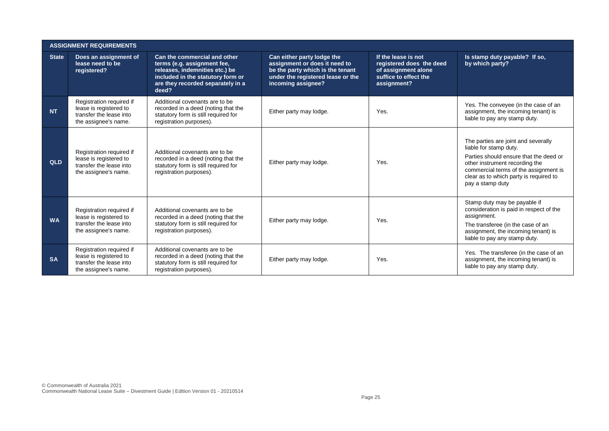|              | <b>ASSIGNMENT REQUIREMENTS</b>                                                                        |                                                                                                                                                                                  |                                                                                                                                                            |                                                                                                                |                                                                                                                                                                                                                                                  |  |  |
|--------------|-------------------------------------------------------------------------------------------------------|----------------------------------------------------------------------------------------------------------------------------------------------------------------------------------|------------------------------------------------------------------------------------------------------------------------------------------------------------|----------------------------------------------------------------------------------------------------------------|--------------------------------------------------------------------------------------------------------------------------------------------------------------------------------------------------------------------------------------------------|--|--|
| <b>State</b> | Does an assignment of<br>lease need to be<br>registered?                                              | Can the commercial and other<br>terms (e.g. assignment fee,<br>releases, indemnities etc.) be<br>included in the statutory form or<br>are they recorded separately in a<br>deed? | Can either party lodge the<br>assignment or does it need to<br>be the party which is the tenant<br>under the registered lease or the<br>incoming assignee? | If the lease is not<br>registered does the deed<br>of assignment alone<br>suffice to effect the<br>assignment? | Is stamp duty payable? If so,<br>by which party?                                                                                                                                                                                                 |  |  |
| <b>NT</b>    | Registration required if<br>lease is registered to<br>transfer the lease into<br>the assignee's name. | Additional covenants are to be<br>recorded in a deed (noting that the<br>statutory form is still required for<br>registration purposes).                                         | Either party may lodge.                                                                                                                                    | Yes.                                                                                                           | Yes. The conveyee (in the case of an<br>assignment, the incoming tenant) is<br>liable to pay any stamp duty.                                                                                                                                     |  |  |
| <b>QLD</b>   | Registration required if<br>lease is registered to<br>transfer the lease into<br>the assignee's name. | Additional covenants are to be<br>recorded in a deed (noting that the<br>statutory form is still required for<br>registration purposes).                                         | Either party may lodge.                                                                                                                                    | Yes.                                                                                                           | The parties are joint and severally<br>liable for stamp duty.<br>Parties should ensure that the deed or<br>other instrument recording the<br>commercial terms of the assignment is<br>clear as to which party is required to<br>pay a stamp duty |  |  |
| <b>WA</b>    | Registration required if<br>lease is registered to<br>transfer the lease into<br>the assignee's name. | Additional covenants are to be<br>recorded in a deed (noting that the<br>statutory form is still required for<br>registration purposes).                                         | Either party may lodge.                                                                                                                                    | Yes.                                                                                                           | Stamp duty may be payable if<br>consideration is paid in respect of the<br>assignment.<br>The transferee (in the case of an<br>assignment, the incoming tenant) is<br>liable to pay any stamp duty.                                              |  |  |
| <b>SA</b>    | Registration required if<br>lease is registered to<br>transfer the lease into<br>the assignee's name. | Additional covenants are to be<br>recorded in a deed (noting that the<br>statutory form is still required for<br>registration purposes).                                         | Either party may lodge.                                                                                                                                    | Yes.                                                                                                           | Yes. The transferee (in the case of an<br>assignment, the incoming tenant) is<br>liable to pay any stamp duty.                                                                                                                                   |  |  |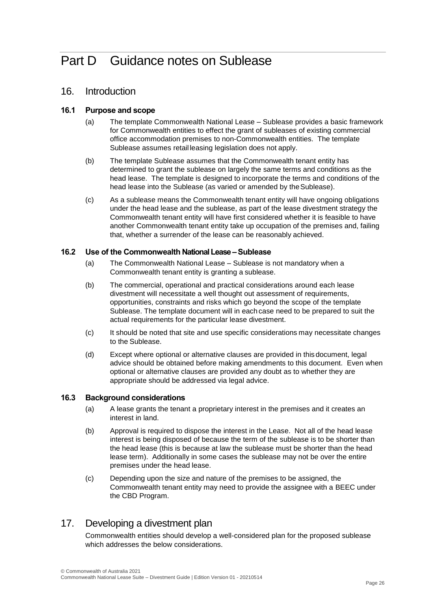# Part D Guidance notes on Sublease

## 16. Introduction

#### **16.1 Purpose and scope**

- (a) The template Commonwealth National Lease Sublease provides a basic framework for Commonwealth entities to effect the grant of subleases of existing commercial office accommodation premises to non-Commonwealth entities. The template Sublease assumes retail leasing legislation does not apply.
- (b) The template Sublease assumes that the Commonwealth tenant entity has determined to grant the sublease on largely the same terms and conditions as the head lease. The template is designed to incorporate the terms and conditions of the head lease into the Sublease (as varied or amended by the Sublease).
- (c) As a sublease means the Commonwealth tenant entity will have ongoing obligations under the head lease and the sublease, as part of the lease divestment strategy the Commonwealth tenant entity will have first considered whether it is feasible to have another Commonwealth tenant entity take up occupation of the premises and, failing that, whether a surrender of the lease can be reasonably achieved.

#### **16.2 Use of the Commonwealth National Lease –Sublease**

- (a) The Commonwealth National Lease Sublease is not mandatory when a Commonwealth tenant entity is granting a sublease.
- (b) The commercial, operational and practical considerations around each lease divestment will necessitate a well thought out assessment of requirements, opportunities, constraints and risks which go beyond the scope of the template Sublease. The template document will in each case need to be prepared to suit the actual requirements for the particular lease divestment.
- (c) It should be noted that site and use specific considerations may necessitate changes to the Sublease.
- (d) Except where optional or alternative clauses are provided in thisdocument, legal advice should be obtained before making amendments to this document. Even when optional or alternative clauses are provided any doubt as to whether they are appropriate should be addressed via legal advice.

#### **16.3 Background considerations**

- (a) A lease grants the tenant a proprietary interest in the premises and it creates an interest in land.
- (b) Approval is required to dispose the interest in the Lease. Not all of the head lease interest is being disposed of because the term of the sublease is to be shorter than the head lease (this is because at law the sublease must be shorter than the head lease term). Additionally in some cases the sublease may not be over the entire premises under the head lease.
- (c) Depending upon the size and nature of the premises to be assigned, the Commonwealth tenant entity may need to provide the assignee with a BEEC under the CBD Program.

# 17. Developing a divestment plan

Commonwealth entities should develop a well-considered plan for the proposed sublease which addresses the below considerations.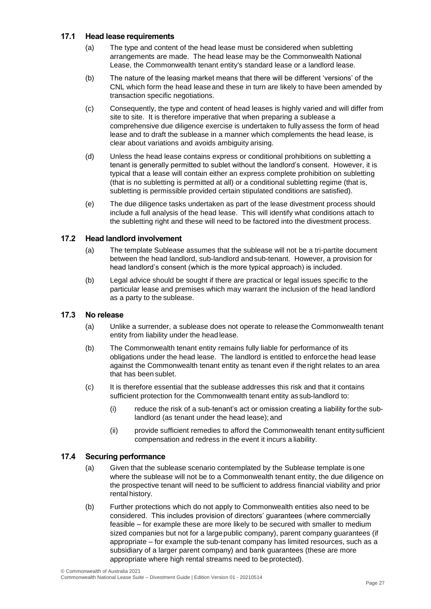#### **17.1 Head lease requirements**

- (a) The type and content of the head lease must be considered when subletting arrangements are made. The head lease may be the Commonwealth National Lease, the Commonwealth tenant entity's standard lease or a landlord lease.
- (b) The nature of the leasing market means that there will be different 'versions' of the CNL which form the head leaseand these in turn are likely to have been amended by transaction specific negotiations.
- (c) Consequently, the type and content of head leases is highly varied and will differ from site to site. It is therefore imperative that when preparing a sublease a comprehensive due diligence exercise is undertaken to fullyassess the form of head lease and to draft the sublease in a manner which complements the head lease, is clear about variations and avoids ambiguity arising.
- (d) Unless the head lease contains express or conditional prohibitions on subletting a tenant is generally permitted to sublet without the landlord's consent. However, it is typical that a lease will contain either an express complete prohibition on subletting (that is no subletting is permitted at all) or a conditional subletting regime (that is, subletting is permissible provided certain stipulated conditions are satisfied).
- (e) The due diligence tasks undertaken as part of the lease divestment process should include a full analysis of the head lease. This will identify what conditions attach to the subletting right and these will need to be factored into the divestment process.

#### **17.2 Head landlord involvement**

- (a) The template Sublease assumes that the sublease will not be a tri-partite document between the head landlord, sub-landlord andsub-tenant. However, a provision for head landlord's consent (which is the more typical approach) is included.
- (b) Legal advice should be sought if there are practical or legal issues specific to the particular lease and premises which may warrant the inclusion of the head landlord as a party to the sublease.

#### **17.3 No release**

- (a) Unlike a surrender, a sublease does not operate to release the Commonwealth tenant entity from liability under the head lease.
- (b) The Commonwealth tenant entity remains fully liable for performance of its obligations under the head lease. The landlord is entitled to enforcethe head lease against the Commonwealth tenant entity as tenant even if the right relates to an area that has been sublet.
- (c) It is therefore essential that the sublease addresses this risk and that it contains sufficient protection for the Commonwealth tenant entity as sub-landlord to:
	- (i) reduce the risk of a sub-tenant's act or omission creating a liability forthe sublandlord (as tenant under the head lease); and
	- (ii) provide sufficient remedies to afford the Commonwealth tenant entitysufficient compensation and redress in the event it incurs a liability.

#### **17.4 Securing performance**

- (a) Given that the sublease scenario contemplated by the Sublease template is one where the sublease will not be to a Commonwealth tenant entity, the due diligence on the prospective tenant will need to be sufficient to address financial viability and prior rental history.
- (b) Further protections which do not apply to Commonwealth entities also need to be considered. This includes provision of directors' guarantees (where commercially feasible – for example these are more likely to be secured with smaller to medium sized companies but not for a largepublic company), parent company guarantees (if appropriate – for example the sub-tenant company has limited resources, such as a subsidiary of a larger parent company) and bank guarantees (these are more appropriate where high rental streams need to be protected).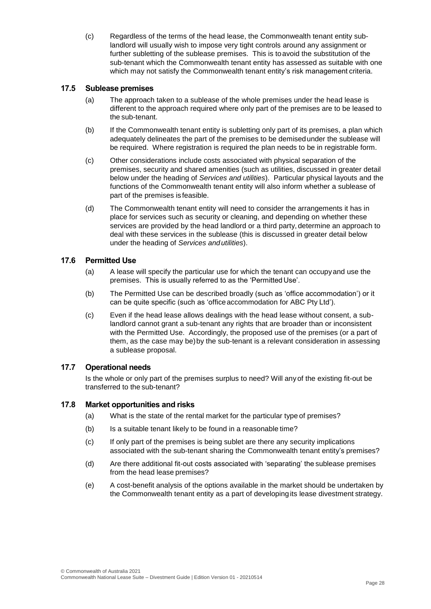(c) Regardless of the terms of the head lease, the Commonwealth tenant entity sublandlord will usually wish to impose very tight controls around any assignment or further subletting of the sublease premises. This is toavoid the substitution of the sub-tenant which the Commonwealth tenant entity has assessed as suitable with one which may not satisfy the Commonwealth tenant entity's risk management criteria.

#### **17.5 Sublease premises**

- (a) The approach taken to a sublease of the whole premises under the head lease is different to the approach required where only part of the premises are to be leased to the sub-tenant.
- (b) If the Commonwealth tenant entity is subletting only part of its premises, a plan which adequately delineates the part of the premises to be demisedunder the sublease will be required. Where registration is required the plan needs to be in registrable form.
- (c) Other considerations include costs associated with physical separation of the premises, security and shared amenities (such as utilities, discussed in greater detail below under the heading of *Services and utilities*). Particular physical layouts and the functions of the Commonwealth tenant entity will also inform whether a sublease of part of the premises is feasible.
- (d) The Commonwealth tenant entity will need to consider the arrangements it has in place for services such as security or cleaning, and depending on whether these services are provided by the head landlord or a third party, determine an approach to deal with these services in the sublease (this is discussed in greater detail below under the heading of *Services andutilities*).

#### **17.6 Permitted Use**

- (a) A lease will specify the particular use for which the tenant can occupyand use the premises. This is usually referred to as the 'Permitted Use'.
- (b) The Permitted Use can be described broadly (such as 'office accommodation') or it can be quite specific (such as 'officeaccommodation for ABC Pty Ltd').
- (c) Even if the head lease allows dealings with the head lease without consent, a sublandlord cannot grant a sub-tenant any rights that are broader than or inconsistent with the Permitted Use. Accordingly, the proposed use of the premises (or a part of them, as the case may be)by the sub-tenant is a relevant consideration in assessing a sublease proposal.

#### **17.7 Operational needs**

Is the whole or only part of the premises surplus to need? Will anyof the existing fit-out be transferred to the sub-tenant?

#### **17.8 Market opportunities and risks**

- (a) What is the state of the rental market for the particular type of premises?
- (b) Is a suitable tenant likely to be found in a reasonable time?
- (c) If only part of the premises is being sublet are there any security implications associated with the sub-tenant sharing the Commonwealth tenant entity's premises?
- (d) Are there additional fit-out costs associated with 'separating' the sublease premises from the head lease premises?
- (e) A cost-benefit analysis of the options available in the market should be undertaken by the Commonwealth tenant entity as a part of developing its lease divestment strategy.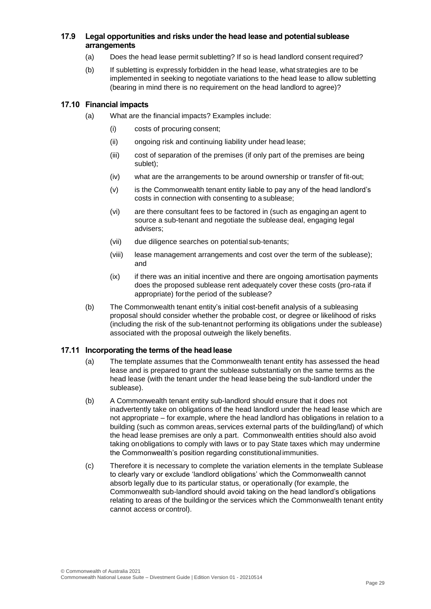#### **17.9 Legal opportunities and risks under the head lease and potentialsublease arrangements**

- (a) Does the head lease permit subletting? If so is head landlord consent required?
- (b) If subletting is expressly forbidden in the head lease, what strategies are to be implemented in seeking to negotiate variations to the head lease to allow subletting (bearing in mind there is no requirement on the head landlord to agree)?

#### **17.10 Financial impacts**

- (a) What are the financial impacts? Examples include:
	- (i) costs of procuring consent;
	- (ii) ongoing risk and continuing liability under head lease;
	- (iii) cost of separation of the premises (if only part of the premises are being sublet);
	- (iv) what are the arrangements to be around ownership or transfer of fit-out;
	- (v) is the Commonwealth tenant entity liable to pay any of the head landlord's costs in connection with consenting to a sublease;
	- (vi) are there consultant fees to be factored in (such as engaging an agent to source a sub-tenant and negotiate the sublease deal, engaging legal advisers;
	- (vii) due diligence searches on potential sub-tenants;
	- (viii) lease management arrangements and cost over the term of the sublease); and
	- (ix) if there was an initial incentive and there are ongoing amortisation payments does the proposed sublease rent adequately cover these costs (pro-rata if appropriate) forthe period of the sublease?
- (b) The Commonwealth tenant entity's initial cost-benefit analysis of a subleasing proposal should consider whether the probable cost, or degree or likelihood of risks (including the risk of the sub-tenantnot performing its obligations under the sublease) associated with the proposal outweigh the likely benefits.

#### **17.11 Incorporating the terms of the headlease**

- (a) The template assumes that the Commonwealth tenant entity has assessed the head lease and is prepared to grant the sublease substantially on the same terms as the head lease (with the tenant under the head lease being the sub-landlord under the sublease).
- (b) A Commonwealth tenant entity sub-landlord should ensure that it does not inadvertently take on obligations of the head landlord under the head lease which are not appropriate – for example, where the head landlord has obligations in relation to a building (such as common areas, services external parts of the building/land) of which the head lease premises are only a part. Commonwealth entities should also avoid taking onobligations to comply with laws or to pay State taxes which may undermine the Commonwealth's position regarding constitutional immunities.
- (c) Therefore it is necessary to complete the variation elements in the template Sublease to clearly vary or exclude 'landlord obligations' which the Commonwealth cannot absorb legally due to its particular status, or operationally (for example, the Commonwealth sub-landlord should avoid taking on the head landlord's obligations relating to areas of the buildingor the services which the Commonwealth tenant entity cannot access or control).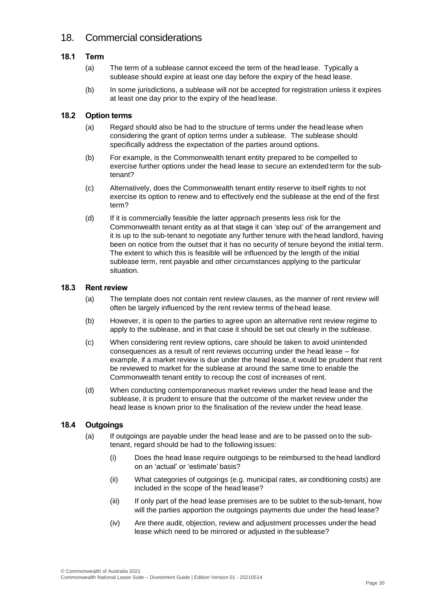# 18. Commercial considerations

#### **18.1 Term**

- (a) The term of a sublease cannot exceed the term of the head lease. Typically a sublease should expire at least one day before the expiry of the head lease.
- (b) In some jurisdictions, a sublease will not be accepted for registration unless it expires at least one day prior to the expiry of the head lease.

#### **18.2 Option terms**

- (a) Regard should also be had to the structure of terms under the head lease when considering the grant of option terms under a sublease. The sublease should specifically address the expectation of the parties around options.
- (b) For example, is the Commonwealth tenant entity prepared to be compelled to exercise further options under the head lease to secure an extended term for the subtenant?
- (c) Alternatively, does the Commonwealth tenant entity reserve to itself rights to not exercise its option to renew and to effectively end the sublease at the end of the first term?
- (d) If it is commercially feasible the latter approach presents less risk for the Commonwealth tenant entity as at that stage it can 'step out' of the arrangement and it is up to the sub-tenant to negotiate any further tenure with the head landlord, having been on notice from the outset that it has no security of tenure beyond the initial term. The extent to which this is feasible will be influenced by the length of the initial sublease term, rent payable and other circumstances applying to the particular situation.

#### **18.3 Rent review**

- (a) The template does not contain rent review clauses, as the manner of rent review will often be largely influenced by the rent review terms of thehead lease.
- (b) However, it is open to the parties to agree upon an alternative rent review regime to apply to the sublease, and in that case it should be set out clearly in the sublease.
- (c) When considering rent review options, care should be taken to avoid unintended consequences as a result of rent reviews occurring under the head lease – for example, if a market review is due under the head lease, it would be prudent that rent be reviewed to market for the sublease at around the same time to enable the Commonwealth tenant entity to recoup the cost of increases of rent.
- (d) When conducting contemporaneous market reviews under the head lease and the sublease, it is prudent to ensure that the outcome of the market review under the head lease is known prior to the finalisation of the review under the head lease.

#### **18.4 Outgoings**

- (a) If outgoings are payable under the head lease and are to be passed on to the subtenant, regard should be had to the following issues:
	- (i) Does the head lease require outgoings to be reimbursed to the head landlord on an 'actual' or 'estimate' basis?
	- (ii) What categories of outgoings (e.g. municipal rates, air conditioning costs) are included in the scope of the head lease?
	- (iii) If only part of the head lease premises are to be sublet to the sub-tenant, how will the parties apportion the outgoings payments due under the head lease?
	- (iv) Are there audit, objection, review and adjustment processes under the head lease which need to be mirrored or adjusted in the sublease?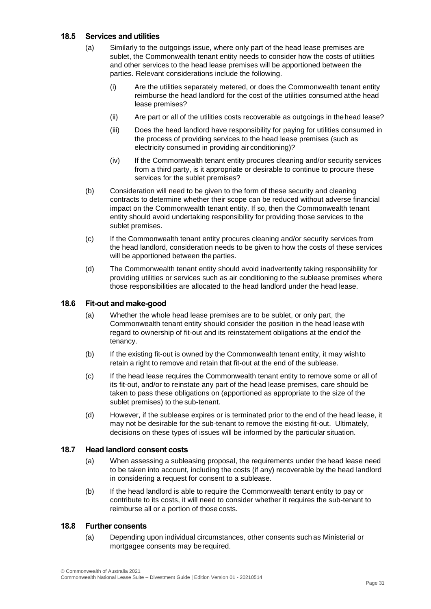#### **18.5 Services and utilities**

- (a) Similarly to the outgoings issue, where only part of the head lease premises are sublet, the Commonwealth tenant entity needs to consider how the costs of utilities and other services to the head lease premises will be apportioned between the parties. Relevant considerations include the following.
	- (i) Are the utilities separately metered, or does the Commonwealth tenant entity reimburse the head landlord for the cost of the utilities consumed atthe head lease premises?
	- (ii) Are part or all of the utilities costs recoverable as outgoings in thehead lease?
	- (iii) Does the head landlord have responsibility for paying for utilities consumed in the process of providing services to the head lease premises (such as electricity consumed in providing air conditioning)?
	- (iv) If the Commonwealth tenant entity procures cleaning and/or security services from a third party, is it appropriate or desirable to continue to procure these services for the sublet premises?
- (b) Consideration will need to be given to the form of these security and cleaning contracts to determine whether their scope can be reduced without adverse financial impact on the Commonwealth tenant entity. If so, then the Commonwealth tenant entity should avoid undertaking responsibility for providing those services to the sublet premises.
- (c) If the Commonwealth tenant entity procures cleaning and/or security services from the head landlord, consideration needs to be given to how the costs of these services will be apportioned between the parties.
- (d) The Commonwealth tenant entity should avoid inadvertently taking responsibility for providing utilities or services such as air conditioning to the sublease premises where those responsibilities are allocated to the head landlord under the head lease.

#### **18.6 Fit-out and make-good**

- (a) Whether the whole head lease premises are to be sublet, or only part, the Commonwealth tenant entity should consider the position in the head lease with regard to ownership of fit-out and its reinstatement obligations at the endof the tenancy.
- (b) If the existing fit-out is owned by the Commonwealth tenant entity, it may wishto retain a right to remove and retain that fit-out at the end of the sublease.
- (c) If the head lease requires the Commonwealth tenant entity to remove some or all of its fit-out, and/or to reinstate any part of the head lease premises, care should be taken to pass these obligations on (apportioned as appropriate to the size of the sublet premises) to the sub-tenant.
- (d) However, if the sublease expires or is terminated prior to the end of the head lease, it may not be desirable for the sub-tenant to remove the existing fit-out. Ultimately, decisions on these types of issues will be informed by the particular situation.

#### **18.7 Head landlord consent costs**

- (a) When assessing a subleasing proposal, the requirements under the head lease need to be taken into account, including the costs (if any) recoverable by the head landlord in considering a request for consent to a sublease.
- (b) If the head landlord is able to require the Commonwealth tenant entity to pay or contribute to its costs, it will need to consider whether it requires the sub-tenant to reimburse all or a portion of those costs.

#### **18.8 Further consents**

(a) Depending upon individual circumstances, other consents such as Ministerial or mortgagee consents may berequired.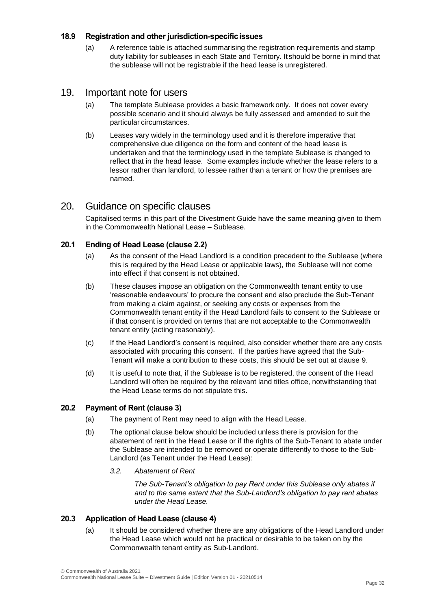#### **18.9 Registration and other jurisdiction-specificissues**

(a) A reference table is attached summarising the registration requirements and stamp duty liability for subleases in each State and Territory. It should be borne in mind that the sublease will not be registrable if the head lease is unregistered.

### 19. Important note for users

- (a) The template Sublease provides a basic framework only. It does not cover every possible scenario and it should always be fully assessed and amended to suit the particular circumstances.
- (b) Leases vary widely in the terminology used and it is therefore imperative that comprehensive due diligence on the form and content of the head lease is undertaken and that the terminology used in the template Sublease is changed to reflect that in the head lease. Some examples include whether the lease refers to a lessor rather than landlord, to lessee rather than a tenant or how the premises are named.

# 20. Guidance on specific clauses

Capitalised terms in this part of the Divestment Guide have the same meaning given to them in the Commonwealth National Lease – Sublease.

#### **20.1 Ending of Head Lease (clause 2.2)**

- (a) As the consent of the Head Landlord is a condition precedent to the Sublease (where this is required by the Head Lease or applicable laws), the Sublease will not come into effect if that consent is not obtained.
- (b) These clauses impose an obligation on the Commonwealth tenant entity to use 'reasonable endeavours' to procure the consent and also preclude the Sub-Tenant from making a claim against, or seeking any costs or expenses from the Commonwealth tenant entity if the Head Landlord fails to consent to the Sublease or if that consent is provided on terms that are not acceptable to the Commonwealth tenant entity (acting reasonably).
- (c) If the Head Landlord's consent is required, also consider whether there are any costs associated with procuring this consent. If the parties have agreed that the Sub-Tenant will make a contribution to these costs, this should be set out at clause 9.
- (d) It is useful to note that, if the Sublease is to be registered, the consent of the Head Landlord will often be required by the relevant land titles office, notwithstanding that the Head Lease terms do not stipulate this.

#### **20.2 Payment of Rent (clause 3)**

- (a) The payment of Rent may need to align with the Head Lease.
- (b) The optional clause below should be included unless there is provision for the abatement of rent in the Head Lease or if the rights of the Sub-Tenant to abate under the Sublease are intended to be removed or operate differently to those to the Sub-Landlord (as Tenant under the Head Lease):
	- *3.2. Abatement of Rent*

*The Sub-Tenant's obligation to pay Rent under this Sublease only abates if and to the same extent that the Sub-Landlord's obligation to pay rent abates under the Head Lease.*

#### **20.3 Application of Head Lease (clause 4)**

(a) It should be considered whether there are any obligations of the Head Landlord under the Head Lease which would not be practical or desirable to be taken on by the Commonwealth tenant entity as Sub-Landlord.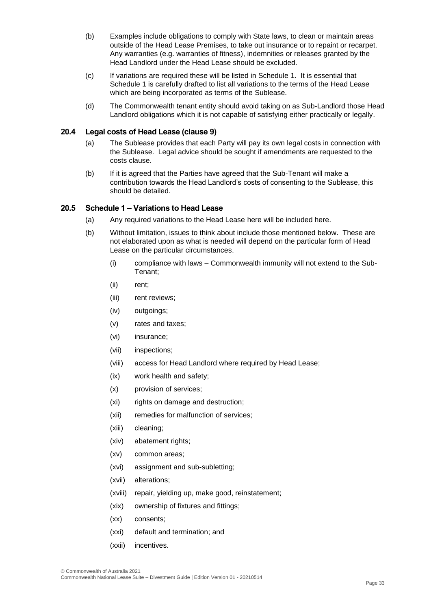- (b) Examples include obligations to comply with State laws, to clean or maintain areas outside of the Head Lease Premises, to take out insurance or to repaint or recarpet. Any warranties (e.g. warranties of fitness), indemnities or releases granted by the Head Landlord under the Head Lease should be excluded.
- (c) If variations are required these will be listed in Schedule 1. It is essential that Schedule 1 is carefully drafted to list all variations to the terms of the Head Lease which are being incorporated as terms of the Sublease.
- (d) The Commonwealth tenant entity should avoid taking on as Sub-Landlord those Head Landlord obligations which it is not capable of satisfying either practically or legally.

#### **20.4 Legal costs of Head Lease (clause 9)**

- (a) The Sublease provides that each Party will pay its own legal costs in connection with the Sublease. Legal advice should be sought if amendments are requested to the costs clause.
- (b) If it is agreed that the Parties have agreed that the Sub-Tenant will make a contribution towards the Head Landlord's costs of consenting to the Sublease, this should be detailed.

#### **20.5 Schedule 1 – Variations to Head Lease**

- (a) Any required variations to the Head Lease here will be included here.
- (b) Without limitation, issues to think about include those mentioned below. These are not elaborated upon as what is needed will depend on the particular form of Head Lease on the particular circumstances.
	- (i) compliance with laws Commonwealth immunity will not extend to the Sub-Tenant;
	- (ii) rent;
	- (iii) rent reviews;
	- (iv) outgoings;
	- (v) rates and taxes;
	- (vi) insurance;
	- (vii) inspections;
	- (viii) access for Head Landlord where required by Head Lease;
	- (ix) work health and safety;
	- (x) provision of services;
	- (xi) rights on damage and destruction;
	- (xii) remedies for malfunction of services;
	- (xiii) cleaning;
	- (xiv) abatement rights;
	- (xv) common areas;
	- (xvi) assignment and sub-subletting;
	- (xvii) alterations;
	- (xviii) repair, yielding up, make good, reinstatement;
	- (xix) ownership of fixtures and fittings;
	- (xx) consents;
	- (xxi) default and termination; and
	- (xxii) incentives.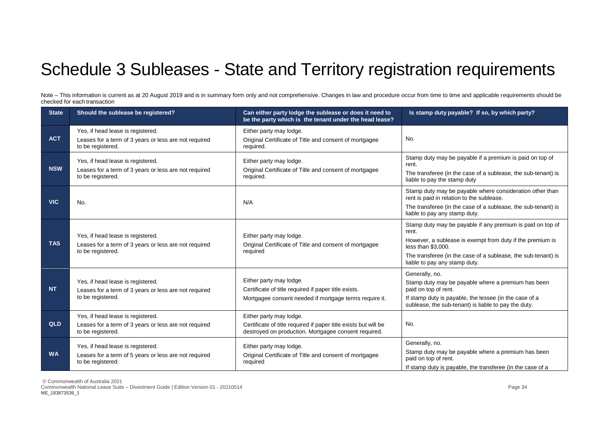# Schedule 3 Subleases - State and Territory registration requirements

Note – This information is current as at 20 August 2019 and is in summary form only and not comprehensive. Changes in law and procedure occur from time to time and applicable requirements should be checked for each transaction

| <b>State</b> | Should the sublease be registered?                                                                              | Can either party lodge the sublease or does it need to<br>be the party which is the tenant under the head lease?                                   | Is stamp duty payable? If so, by which party?                                                                                                                                                                                                            |
|--------------|-----------------------------------------------------------------------------------------------------------------|----------------------------------------------------------------------------------------------------------------------------------------------------|----------------------------------------------------------------------------------------------------------------------------------------------------------------------------------------------------------------------------------------------------------|
| <b>ACT</b>   | Yes, if head lease is registered.<br>Leases for a term of 3 years or less are not required<br>to be registered. | Either party may lodge.<br>Original Certificate of Title and consent of mortgagee<br>required.                                                     | No.                                                                                                                                                                                                                                                      |
| <b>NSW</b>   | Yes, if head lease is registered.<br>Leases for a term of 3 years or less are not required<br>to be registered. | Either party may lodge.<br>Original Certificate of Title and consent of mortgagee<br>required.                                                     | Stamp duty may be payable if a premium is paid on top of<br>rent.<br>The transferee (in the case of a sublease, the sub-tenant) is<br>liable to pay the stamp duty                                                                                       |
| <b>VIC</b>   | No.                                                                                                             | N/A                                                                                                                                                | Stamp duty may be payable where consideration other than<br>rent is paid in relation to the sublease.<br>The transferee (in the case of a sublease, the sub-tenant) is<br>liable to pay any stamp duty.                                                  |
| <b>TAS</b>   | Yes, if head lease is registered.<br>Leases for a term of 3 years or less are not required<br>to be registered. | Either party may lodge.<br>Original Certificate of Title and consent of mortgagee<br>required                                                      | Stamp duty may be payable if any premium is paid on top of<br>rent.<br>However, a sublease is exempt from duty if the premium is<br>less than \$3,000.<br>The transferee (in the case of a sublease, the sub-tenant) is<br>liable to pay any stamp duty. |
| <b>NT</b>    | Yes, if head lease is registered.<br>Leases for a term of 3 years or less are not required<br>to be registered. | Either party may lodge.<br>Certificate of title required if paper title exists.<br>Mortgagee consent needed if mortgage terms require it.          | Generally, no.<br>Stamp duty may be payable where a premium has been<br>paid on top of rent.<br>If stamp duty is payable, the lessee (in the case of a<br>sublease, the sub-tenant) is liable to pay the duty.                                           |
| <b>QLD</b>   | Yes, if head lease is registered.<br>Leases for a term of 3 years or less are not required<br>to be registered. | Either party may lodge.<br>Certificate of title required if paper title exists but will be<br>destroyed on production. Mortgagee consent required. | No.                                                                                                                                                                                                                                                      |
| <b>WA</b>    | Yes, if head lease is registered.<br>Leases for a term of 5 years or less are not required<br>to be registered. | Either party may lodge.<br>Original Certificate of Title and consent of mortgagee<br>required                                                      | Generally, no.<br>Stamp duty may be payable where a premium has been<br>paid on top of rent.<br>If stamp duty is payable, the transferee (in the case of a                                                                                               |

© Commonwealth of Australia 2021

Commonwealth National Lease Suite – Divestment Guide | Edition Version 01 - 20210514 Page 34 ME\_183873536\_1